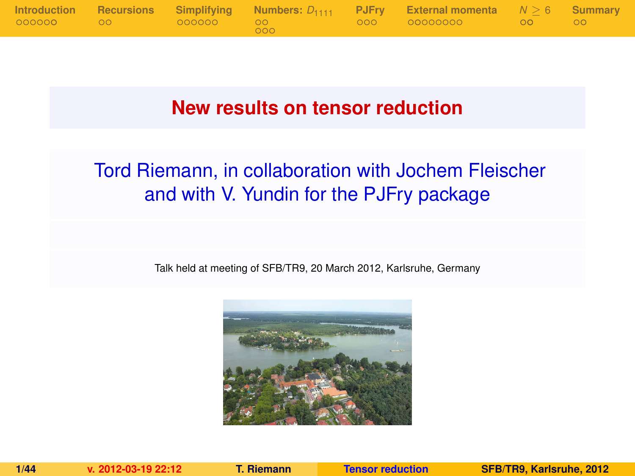

## **New results on tensor reduction**

# Tord Riemann, in collaboration with Jochem Fleischer and with V. Yundin for the PJFry package

Talk held at meeting of SFB/TR9, 20 March 2012, Karlsruhe, Germany

<span id="page-0-0"></span>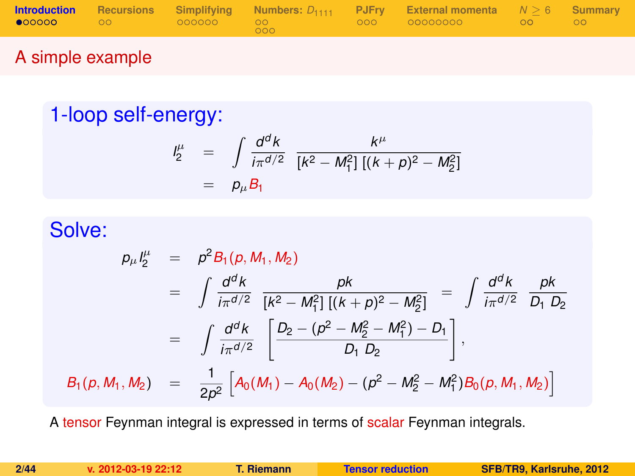|  |     | <b>Introduction</b> Recursions Simplifying Numbers: $D_{1111}$ PJFry External momenta $N > 6$ Summary |  |
|--|-----|-------------------------------------------------------------------------------------------------------|--|
|  | 000 |                                                                                                       |  |
|  |     |                                                                                                       |  |

## A simple example

# 1-loop self-energy:

<span id="page-1-0"></span>
$$
\begin{array}{rcl}\nI_2^{\mu} & = & \int \frac{d^d k}{i\pi^{d/2}} \frac{k^{\mu}}{[k^2 - M_1^2] \left[ (k+p)^2 - M_2^2 \right]} \\
& = & p_{\mu} B_1\n\end{array}
$$

# Solve:

$$
p_{\mu}I_{2}^{\mu} = p^{2}B_{1}(p, M_{1}, M_{2})
$$
  
\n
$$
= \int \frac{d^{d}k}{i\pi^{d/2}} \frac{pk}{[k^{2} - M_{1}^{2}][(k+p)^{2} - M_{2}^{2}]} = \int \frac{d^{d}k}{i\pi^{d/2}} \frac{pk}{D_{1} D_{2}}
$$
  
\n
$$
= \int \frac{d^{d}k}{i\pi^{d/2}} \left[ \frac{D_{2} - (p^{2} - M_{2}^{2} - M_{1}^{2}) - D_{1}}{D_{1} D_{2}} \right],
$$
  
\n
$$
B_{1}(p, M_{1}, M_{2}) = \frac{1}{2p^{2}} \left[ A_{0}(M_{1}) - A_{0}(M_{2}) - (p^{2} - M_{2}^{2} - M_{1}^{2}) B_{0}(p, M_{1}, M_{2}) \right]
$$

A tensor Feynman integral is expressed in terms of scalar Feynman integrals.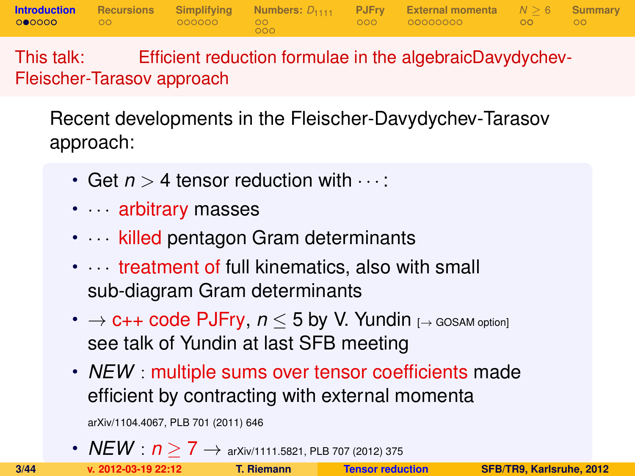**[Introduction](#page-1-0) [Recursions](#page-9-0) [Simplifying](#page-11-0) [Numbers:](#page-17-0)** *D*<sup>1111</sup> **[PJFry](#page-22-0) [External momenta](#page-25-0)** *N* [≥](#page-34-0) 6 **[Summary](#page-41-0)**  $000$ 

This talk: Efficient reduction formulae in the algebraicDavydychev-Fleischer-Tarasov approach

Recent developments in the Fleischer-Davydychev-Tarasov approach:

- Get  $n > 4$  tensor reduction with  $\cdots$
- · · arbitrary masses
- $\cdots$  killed pentagon Gram determinants
- Itreatment of full kinematics, also with small sub-diagram Gram determinants
- $\rightarrow$  **c++ code PJFry,**  $n \leq 5$  **by V. Yundin** [ $\rightarrow$  GOSAM option] see talk of Yundin at last SFB meeting
- *NEW* : multiple sums over tensor coefficients made efficient by contracting with external momenta

arXiv/1104.4067, PLB 701 (2011) 646

•  $NEW$  :  $n \geq 7 \rightarrow$  arXiv/1111.5821, PLB 707 (2012) 375<br>**1.2012-03-19 22:12 1.2 Riemann Censor reduction**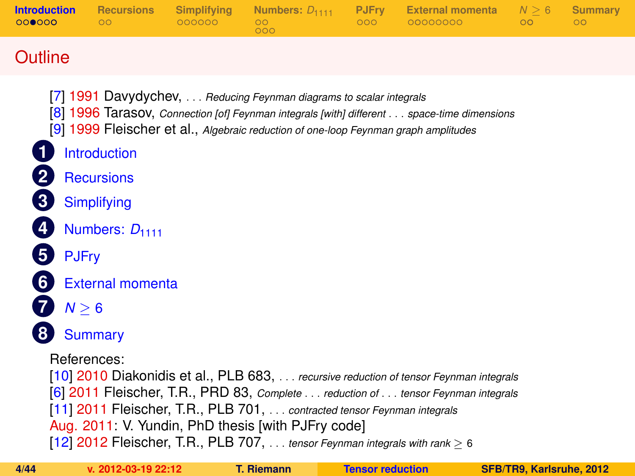| <b>Introduction</b><br>000000 | <b>Recursions</b><br>$\circ$ | Simplifying<br>000000 | Numbers: $D_{1111}$<br>$\circ$<br>000                                                                                                                                                                              | <b>PJFry</b><br>000 | <b>External momenta</b><br>00000000                                                                                                                                          | N > 6<br>00 | Summary<br>$\overline{O}O$ |
|-------------------------------|------------------------------|-----------------------|--------------------------------------------------------------------------------------------------------------------------------------------------------------------------------------------------------------------|---------------------|------------------------------------------------------------------------------------------------------------------------------------------------------------------------------|-------------|----------------------------|
| Outline                       |                              |                       |                                                                                                                                                                                                                    |                     |                                                                                                                                                                              |             |                            |
|                               | Introduction                 |                       | [7] 1991 Davydychev,  Reducing Feynman diagrams to scalar integrals<br>[9] 1999 Fleischer et al., Algebraic reduction of one-loop Feynman graph amplitudes                                                         |                     | [8] 1996 Tarasov, Connection [of] Feynman integrals [with] different space-time dimensions                                                                                   |             |                            |
|                               | <b>Recursions</b>            |                       |                                                                                                                                                                                                                    |                     |                                                                                                                                                                              |             |                            |
| $\overline{\mathbf{3}}$       | Simplifying                  |                       |                                                                                                                                                                                                                    |                     |                                                                                                                                                                              |             |                            |
|                               | Numbers: $D_{1111}$          |                       |                                                                                                                                                                                                                    |                     |                                                                                                                                                                              |             |                            |
| <b>PJFrv</b>                  |                              |                       |                                                                                                                                                                                                                    |                     |                                                                                                                                                                              |             |                            |
| 6 <sup>1</sup>                | <b>External momenta</b>      |                       |                                                                                                                                                                                                                    |                     |                                                                                                                                                                              |             |                            |
| $N \geq 6$                    |                              |                       |                                                                                                                                                                                                                    |                     |                                                                                                                                                                              |             |                            |
|                               | <b>Summary</b>               |                       |                                                                                                                                                                                                                    |                     |                                                                                                                                                                              |             |                            |
| References:                   |                              |                       | [11] 2011 Fleischer, T.R., PLB 701,  contracted tensor Feynman integrals<br>Aug. 2011: V. Yundin, PhD thesis [with PJFry code]<br>[12] 2012 Fleischer, T.R., PLB 707,  tensor Feynman integrals with rank $\geq 6$ |                     | [10] 2010 Diakonidis et al., PLB 683,  recursive reduction of tensor Feynman integrals<br>[6] 2011 Fleischer, T.R., PRD 83, Complete  reduction of  tensor Feynman integrals |             |                            |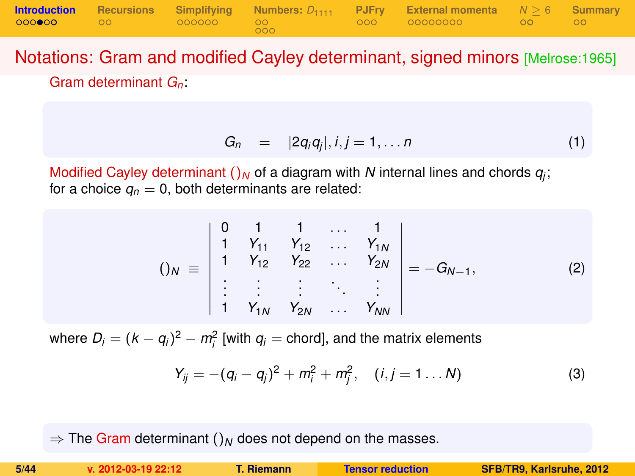|              |                 |     | <b>Introduction</b> Recursions Simplifying Numbers: $D_{1111}$ PJFry External-momenta $N \ge 6$ Summary |  |
|--------------|-----------------|-----|---------------------------------------------------------------------------------------------------------|--|
| 000000 00 00 | - 000000 - 00 - | റററ |                                                                                                         |  |

Notations: Gram and modified Cayley determinant, signed minors [Melrose:1965] Gram determinant *Gn*:

$$
G_n = |2q_iq_j|, i,j = 1,\ldots n \qquad (1)
$$

Modified Cayley determinant  $()_N$  of a diagram with  $N$  internal lines and chords  $q_j$ ; for a choice  $q_n = 0$ , both determinants are related:

$$
()_{N} \equiv \begin{vmatrix} 0 & 1 & 1 & \dots & 1 \\ 1 & Y_{11} & Y_{12} & \dots & Y_{1N} \\ 1 & Y_{12} & Y_{22} & \dots & Y_{2N} \\ \vdots & \vdots & \vdots & \ddots & \vdots \\ 1 & Y_{1N} & Y_{2N} & \dots & Y_{NN} \end{vmatrix} = -G_{N-1},
$$
 (2)

where  $D_i = (k - q_i)^2 - m_i^2$  [with  $q_i$  = chord], and the matrix elements

$$
Y_{ij} = -(q_i - q_j)^2 + m_i^2 + m_j^2, \quad (i, j = 1...N)
$$
 (3)

 $\Rightarrow$  The Gram determinant ()<sub>N</sub> does not depend on the masses.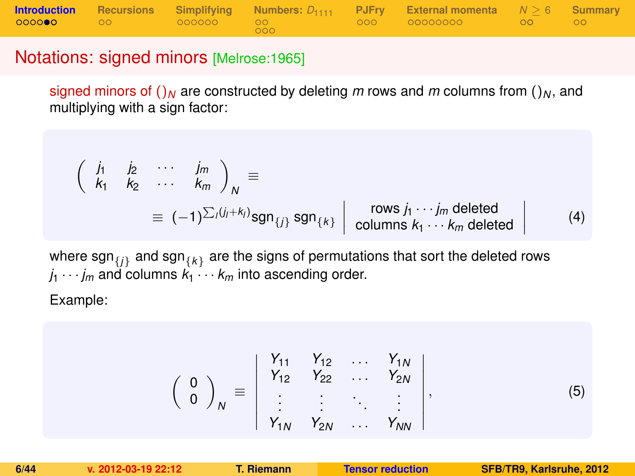|                      |  |        | <b>Introduction</b> Recursions Simplifying Numbers: $D_{1111}$ PJFry External momenta $N > 6$ Summary |  |
|----------------------|--|--------|-------------------------------------------------------------------------------------------------------|--|
| 0000 <b>00</b> 00 00 |  | $000-$ | .000 00000000 00 00 00                                                                                |  |

#### Notations: signed minors [Melrose:1965]

signed minors of  $()_N$  are constructed by deleting *m* rows and *m* columns from  $()_N$ , and multiplying with a sign factor:

$$
\begin{pmatrix}\n\dot{j}_1 & \dot{j}_2 & \cdots & \dot{j}_m \\
k_1 & k_2 & \cdots & k_m\n\end{pmatrix}_N \equiv
$$
\n
$$
\equiv (-1)^{\sum_i (j_i + k_i)} \text{sgn}_{\{j\}} \text{sgn}_{\{k\}} \begin{vmatrix}\n\text{rows } j_1 \cdots j_m \text{ deleted} \\
\text{columns } k_1 \cdots k_m \text{ deleted}\n\end{vmatrix} \quad (4)
$$

where  $\mathsf{sgn}_{\{j\}}$  and  $\mathsf{sgn}_{\{k\}}$  are the signs of permutations that sort the deleted rows  $j_1 \cdots j_m$  and columns  $k_1 \cdots k_m$  into ascending order.

Example:

$$
\left(\begin{array}{c} 0 \\ 0 \end{array}\right)_N \equiv \left|\begin{array}{cccc} Y_{11} & Y_{12} & \dots & Y_{1N} \\ Y_{12} & Y_{22} & \dots & Y_{2N} \\ \vdots & \vdots & \ddots & \vdots \\ Y_{1N} & Y_{2N} & \dots & Y_{NN} \end{array}\right|, \tag{5}
$$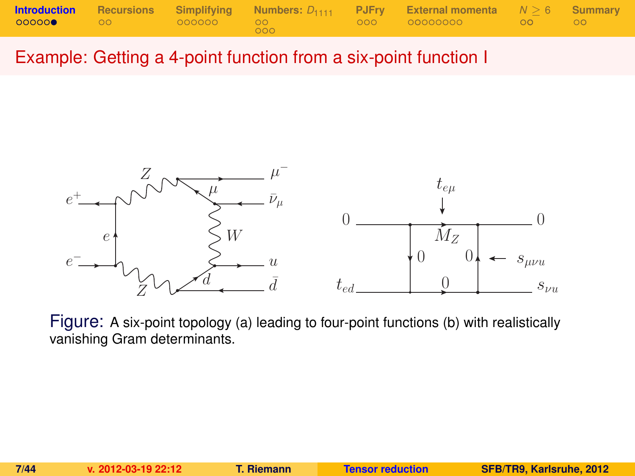|               |                  |       | <b>Introduction</b> Recursions Simplifying Numbers: $D_{1111}$ PJFry External momenta $N \ge 6$ Summary |  |
|---------------|------------------|-------|---------------------------------------------------------------------------------------------------------|--|
| ◎ ◎ ◎ ◎ ◎ ◎ ◎ | $\sim$ 00 $\sim$ | - റററ |                                                                                                         |  |

Example: Getting a 4-point function from a six-point function I



Figure: A six-point topology (a) leading to four-point functions (b) with realistically vanishing Gram determinants.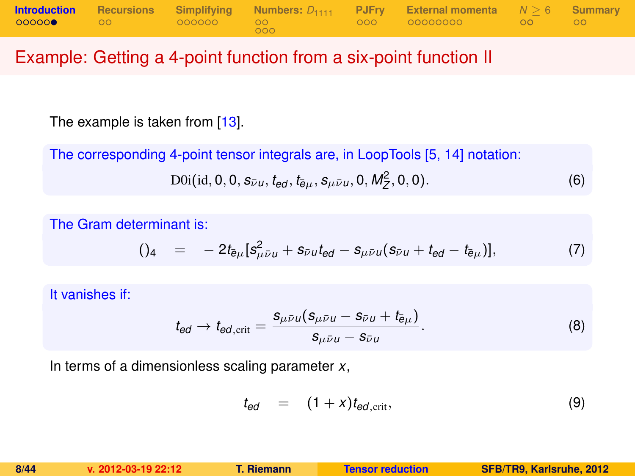|        |                  |                          |     | <b>Introduction</b> Recursions Simplifying Numbers: $D_{1111}$ PJFry External momenta $N > 6$ Summary |  |
|--------|------------------|--------------------------|-----|-------------------------------------------------------------------------------------------------------|--|
| 000000 | $\sim$ 00 $\sim$ | $\sim$ 0000000 00 $\sim$ | 000 |                                                                                                       |  |

#### Example: Getting a 4-point function from a six-point function II

The example is taken from [\[13\]](#page-43-4).

The corresponding 4-point tensor integrals are, in LoopTools [\[5,](#page-42-4) [14\]](#page-43-5) notation:

$$
D0i(id, 0, 0, s_{\bar{\nu}u}, t_{ed}, t_{\bar{e}\mu}, s_{\mu\bar{\nu}u}, 0, M_Z^2, 0, 0).
$$
 (6)

The Gram determinant is:

$$
()_{4} = -2t_{\bar{e}\mu}[s_{\mu\bar{\nu}\mu}^{2} + s_{\bar{\nu}\mu}t_{\theta d} - s_{\mu\bar{\nu}\mu}(s_{\bar{\nu}\mu} + t_{\theta d} - t_{\bar{e}\mu})], \qquad (7)
$$

It vanishes if:

$$
t_{ed} \rightarrow t_{ed,crit} = \frac{s_{\mu\bar{\nu}u}(s_{\mu\bar{\nu}u} - s_{\bar{\nu}u} + t_{\bar{e}\mu})}{s_{\mu\bar{\nu}u} - s_{\bar{\nu}u}}.
$$
(8)

In terms of a dimensionless scaling parameter *x*,

$$
t_{ed} = (1+x)t_{ed,crit}, \qquad (9)
$$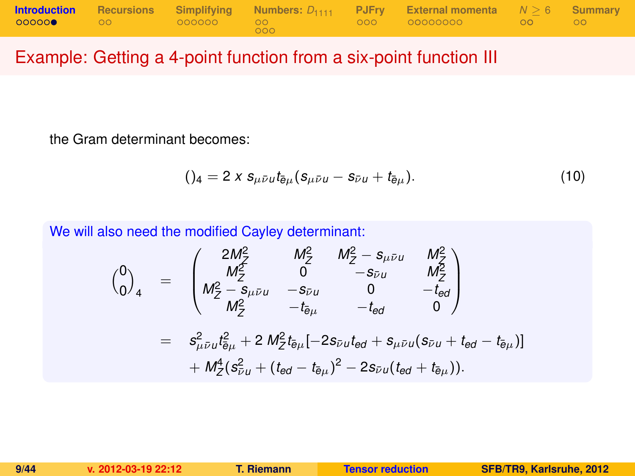|               |  |     | <b>Introduction</b> Recursions Simplifying Numbers: $D_{1111}$ PJFry External momenta $N \ge 6$ Summary                                                                                                                        |  |
|---------------|--|-----|--------------------------------------------------------------------------------------------------------------------------------------------------------------------------------------------------------------------------------|--|
| $00000$ 00 00 |  | 000 | - 000 - 000000000 - 00 - 00 - 00 - 00 - 00 - 00 - 00 - 00 - 00 - 00 - 00 - 00 - 00 - 00 - 00 - 00 - 00 - 00 - 00 - 00 - 00 - 00 - 00 - 00 - 00 - 00 - 00 - 00 - 00 - 00 - 00 - 00 - 00 - 00 - 00 - 00 - 00 - 00 - 00 - 00 - 00 |  |

## Example: Getting a 4-point function from a six-point function III

the Gram determinant becomes:

$$
()_4 = 2 \times s_{\mu \bar{\nu} \mu} t_{\bar{e}\mu} (s_{\mu \bar{\nu} \mu} - s_{\bar{\nu} \mu} + t_{\bar{e}\mu}). \tag{10}
$$

We will also need the modified Cayley determinant:

$$
\begin{array}{rcl}\n\binom{0}{0}_4 & = & \begin{pmatrix}\n2M_{\mathcal{Z}}^2 & M_{\mathcal{Z}}^2 & M_{\mathcal{Z}}^2 - s_{\mu\bar{\nu}u} & M_{\mathcal{Z}}^2 \\
M_{\mathcal{Z}}^2 & 0 & -s_{\bar{\nu}u} & M_{\mathcal{Z}}^2 \\
M_{\mathcal{Z}}^2 - s_{\mu\bar{\nu}u} & -s_{\bar{\nu}u} & 0 & -t_{\bar{e}d} \\
M_{\mathcal{Z}}^2 & -t_{\bar{e}\mu} & -t_{\bar{e}d} & 0\n\end{pmatrix} \\
& = & s_{\mu\bar{\nu}u}^2 t_{\bar{e}\mu}^2 + 2 M_{\mathcal{Z}}^2 t_{\bar{e}\mu} [-2s_{\bar{\nu}u} t_{\bar{e}d} + s_{\mu\bar{\nu}u} (s_{\bar{\nu}u} + t_{\bar{e}d} - t_{\bar{e}\mu})] \\
& + M_{\mathcal{Z}}^4 (s_{\bar{\nu}u}^2 + (t_{\bar{e}d} - t_{\bar{e}\mu})^2 - 2s_{\bar{\nu}u} (t_{\bar{e}d} + t_{\bar{e}\mu})).\n\end{array}
$$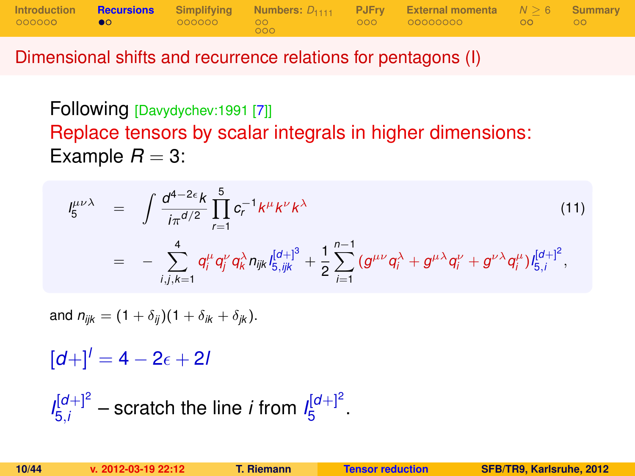|                  |                 |            | Introduction <b>Recursions</b> Simplifying Numbers: $D_{1111}$ PJFry External momenta $N > 6$ Summary |  |
|------------------|-----------------|------------|-------------------------------------------------------------------------------------------------------|--|
| 000000 <b>00</b> | - 000000 - 00 - | <b>COO</b> |                                                                                                       |  |

Dimensional shifts and recurrence relations for pentagons (I)

Following [Davydychev:1991 [\[7\]](#page-42-0)] Replace tensors by scalar integrals in higher dimensions: Example  $R = 3$ :

$$
I_5^{\mu\nu\lambda} = \int \frac{d^{4-2\epsilon}k}{i\pi^{d/2}} \prod_{r=1}^5 c_r^{-1} k^{\mu} k^{\nu} k^{\lambda}
$$
(11)  

$$
= - \sum_{i,j,k=1}^4 q_i^{\mu} q_j^{\nu} q_k^{\lambda} n_{ijk} I_{5,ijk}^{[d+]^3} + \frac{1}{2} \sum_{i=1}^{n-1} (g^{\mu\nu} q_i^{\lambda} + g^{\mu\lambda} q_i^{\nu} + g^{\nu\lambda} q_i^{\mu}) I_{5,i}^{[d+]^2},
$$

and  $n_{ijk} = (1 + \delta_{ij})(1 + \delta_{ik} + \delta_{ik}).$ 

 $[d+1]$ <sup>*l*</sup> = 4 – 2<sub> $\epsilon$ </sub> + 2*l* 

<span id="page-9-0"></span> $I_{\frac{5}{1}}^{[d+]^{2}}$  $\frac{d[d+1]^2}{5i}$  – scratch the line *i* from  $I_5^{[d+1]^2}$ י"ם<br>5 ·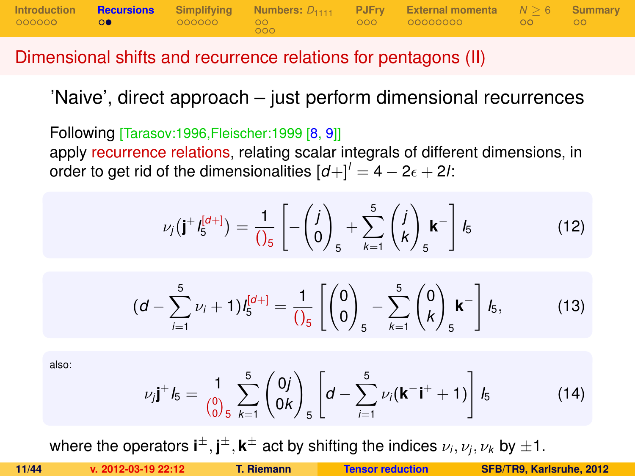

#### Dimensional shifts and recurrence relations for pentagons (II)

'Naive', direct approach – just perform dimensional recurrences

Following [Tarasov:1996,Fleischer:1999 [\[8,](#page-42-1) [9\]](#page-42-2)] apply recurrence relations, relating scalar integrals of different dimensions, in order to get rid of the dimensionalities  $\left[d\right]+1^{\prime} = 4 - 2\epsilon + 2l$ :

$$
\nu_j(\mathbf{j}^+ l_5^{[d+]} ) = \frac{1}{\left(\right)_5} \left[ -\binom{j}{0}_{5} + \sum_{k=1}^5 \binom{j}{k}_{5} \mathbf{k}^- \right] l_5 \tag{12}
$$

<span id="page-10-0"></span>
$$
(d - \sum_{i=1}^{5} \nu_i + 1) I_5^{[d+]} = \frac{1}{\left(\begin{matrix} 0 \\ 0 \end{matrix}\right)_5} - \sum_{k=1}^{5} \left(\begin{matrix} 0 \\ k \end{matrix}\right)_5 \mathbf{k}^{-} \right] I_5, \tag{13}
$$

also:

$$
\nu_j \mathbf{j}^+ \mathbf{k}_5 = \frac{1}{\binom{0}{0.5}} \sum_{k=1}^5 \binom{0j}{0k} \left[ d - \sum_{i=1}^5 \nu_i (\mathbf{k}^- \mathbf{i}^+ + 1) \right] \mathbf{k}_5 \tag{14}
$$

where the operators  $\textbf{i}^{\pm}, \textbf{j}^{\pm}, \textbf{k}^{\pm}$  act by shifting the indices  $\nu_i, \nu_j, \nu_k$  by  $\pm 1.$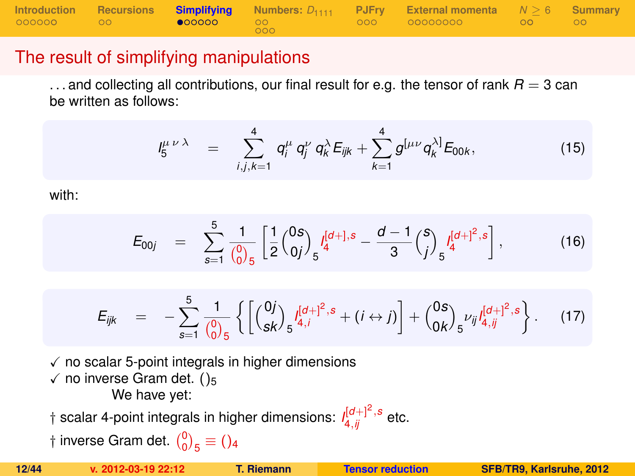|  |                       |        | Introduction Recursions Simplifying Numbers: $D_{1111}$ PJFry External momenta $N > 6$ Summary |  |
|--|-----------------------|--------|------------------------------------------------------------------------------------------------|--|
|  | $\bullet$ 00000 00 00 | $000-$ |                                                                                                |  |

## The result of simplifying manipulations

 $\dots$  and collecting all contributions, our final result for e.g. the tensor of rank  $R = 3$  can be written as follows:

$$
I_5^{\mu\nu\lambda} = \sum_{i,j,k=1}^4 q_i^{\mu} q_j^{\nu} q_k^{\lambda} E_{ijk} + \sum_{k=1}^4 g^{[\mu\nu} q_k^{\lambda]} E_{00k}, \qquad (15)
$$

with:

$$
E_{00j} = \sum_{s=1}^{5} \frac{1}{\binom{0}{0.5}} \left[ \frac{1}{2} \binom{0s}{0j} \int_5 \frac{I_q^{[d+],s}}{4} - \frac{d-1}{3} \binom{s}{j} \int_5 \frac{I_q^{[d+]^2,s}}{4} \right],
$$
(16)

$$
E_{ijk} = -\sum_{s=1}^{5} \frac{1}{\binom{0}{0}} \left\{ \left[ \binom{0j}{sk} 5^{\int_{4,i}^{[d+1]^2, s} + (i \leftrightarrow j)} \right] + \binom{0s}{0k} 5^{\nu_{ij} \int_{4,j}^{[d+1]^2, s}} \right\}.
$$
 (17)

 $\checkmark$  no scalar 5-point integrals in higher dimensions  $\checkmark$  no inverse Gram det. ()<sub>5</sub>

<span id="page-11-0"></span>We have yet:

 $\dagger$  scalar 4-point integrals in higher dimensions:  $\iint_{4,ij}^{[d+]} \int_{0}^{2,}$  etc.

† inverse Gram det.  $\binom{0}{0}_5 \equiv$  ()<sub>4</sub>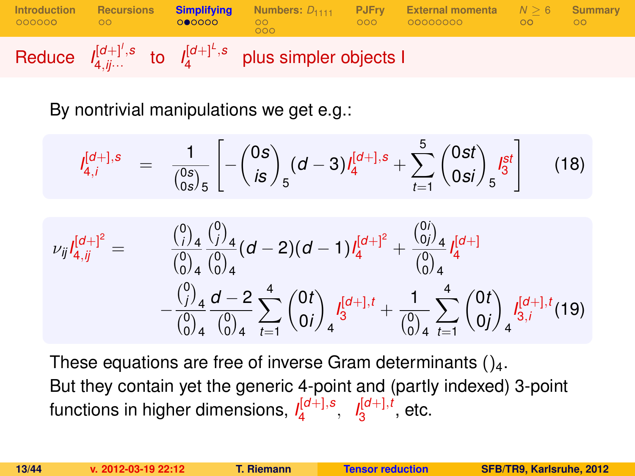

By nontrivial manipulations we get e.g.:

$$
I_{4,i}^{[d+],s} = \frac{1}{\binom{0s}{0s}_5} \left[ -\binom{0s}{is}_5 (d-3) I_4^{[d+],s} + \sum_{t=1}^5 \binom{0st}{0si}_5 I_3^{st} \right]
$$
(18)

$$
\nu_{ij}I_{4,jj}^{[d+]^2} = \n\begin{array}{rcl}\n\frac{\binom{0}{j}_4}{\binom{0}{0}_4}\frac{\binom{0}{j}_4}{\binom{0}{0}_4}(d-2)(d-1)I_4^{[d+]^2} + \frac{\binom{0}{0j}_4}{\binom{0}{0}_4}I_4^{[d+]} \\
&\quad - \frac{\binom{0}{j}_4}{\binom{0}{0}_4}\frac{d-2}{\binom{0}{0}_4}\sum_{t=1}^4 \binom{0t}{0i}_4 I_3^{[d+1,t]} + \frac{1}{\binom{0}{0}_4}\sum_{t=1}^4 \binom{0t}{0j}_4 I_{3,i}^{[d+1,t}(19)\n\end{array}
$$

These equations are free of inverse Gram determinants  $()_4$ . But they contain yet the generic 4-point and (partly indexed) 3-point functions in higher dimensions, *I* [*d*+],*s* 4 , *I* [*d*+],*t*  $\frac{1}{3}^{\left[\mathsf{u}+\mathsf{I},\mathsf{t}\right]}$ , etc.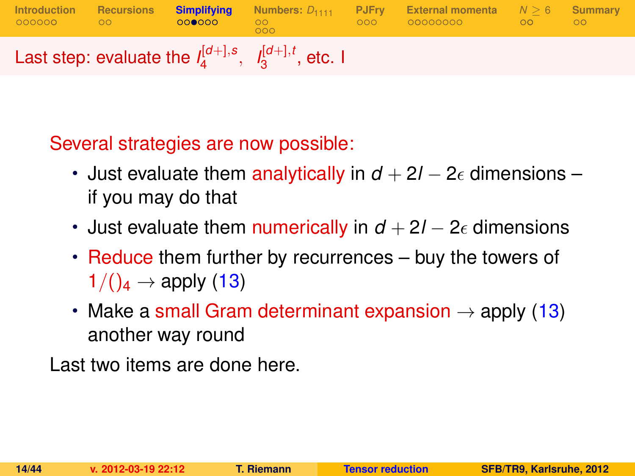

Several strategies are now possible:

- Just evaluate them analytically in  $d + 2l 2\epsilon$  dimensions if you may do that
- Just evaluate them numerically in  $d + 2l 2\epsilon$  dimensions
- Reduce them further by recurrences buy the towers of  $1/(\mathcal{C}_4 \rightarrow \mathsf{apply}(13))$  $1/(\mathcal{C}_4 \rightarrow \mathsf{apply}(13))$  $1/(\mathcal{C}_4 \rightarrow \mathsf{apply}(13))$
- Make a small Gram determinant expansion  $\rightarrow$  apply [\(13\)](#page-10-0) another way round

Last two items are done here.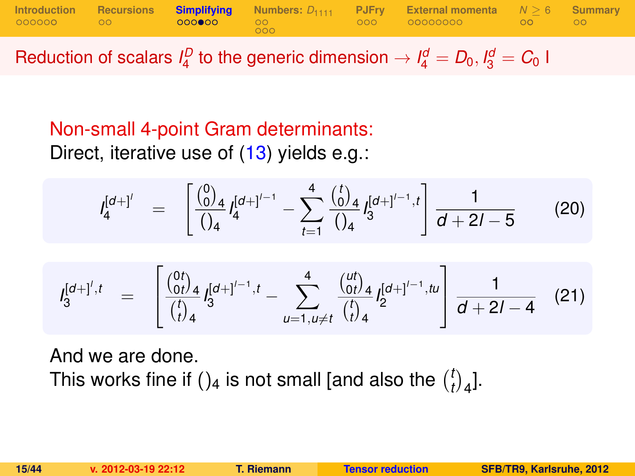|  |       | Introduction Recursions Simplifying Numbers: $D_{1111}$ PJFry External momenta $N \ge 6$ Summary |  |
|--|-------|--------------------------------------------------------------------------------------------------|--|
|  | - റററ |                                                                                                  |  |

Reduction of scalars  $I_4^D$  to the generic dimension  $\rightarrow I_4^d = D_0, I_3^d = C_0$  I

# Non-small 4-point Gram determinants:

Direct, iterative use of [\(13\)](#page-10-0) yields e.g.:

$$
I_4^{[d+1']} = \left[ \frac{\binom{0}{0}_4}{\binom{1}{4}} I_4^{[d+1']^{-1}} - \sum_{t=1}^4 \frac{\binom{t}{0}_4}{\binom{1}{4}} I_3^{[d+1']^{-1},t} \right] \frac{1}{d+2l-5}
$$
(20)

$$
I_3^{[d+]',t} = \begin{bmatrix} \frac{\binom{0t}{0t}}{t} & 1 & \cdots & \cdots & \cdots & \cdots & \cdots & \cdots & \cdots & \cdots & \cdots & \cdots & \cdots & \cdots & \cdots & \cdots & \cdots & \cdots & \cdots & \cdots & \cdots & \cdots & \cdots & \cdots & \cdots & \cdots & \cdots & \cdots & \cdots & \cdots & \cdots & \cdots & \cdots & \cdots & \cdots & \cdots & \cdots & \cdots & \cdots & \cdots & \cdots & \cdots & \cdots & \cdots & \cdots & \cdots & \cdots & \cdots & \cdots & \cdots & \cdots & \cdots & \cdots & \cdots & \cdots & \cdots & \cdots & \cdots & \cdots & \cdots & \cdots & \cdots & \cdots & \cdots & \cdots & \cdots & \cdots & \cdots & \cdots & \cdots & \cdots & \cdots & \cdots & \cdots & \cdots & \cdots & \cdots & \cdots & \cdots & \cdots & \cdots & \cdots & \cdots & \cdots & \cdots & \cdots & \cdots & \cdots & \cdots & \cdots & \cdots & \cdots & \cdots & \cdots & \cdots & \cdots & \cdots & \cdots & \cdots & \cdots & \cdots & \cdots & \cdots & \cdots & \cdots & \cdots & \cdots & \cdots & \cdots & \cdots & \cdots & \cdots & \cdots & \cdots & \cdots & \cdots & \cdots & \cdots & \cdots & \cdots & \cdots & \cdots &
$$

And we are done. This works fine if ()<sub>4</sub> is not small [and also the  $\binom{l}{l}$  $\binom{t}{t}$ <sub>4</sub>].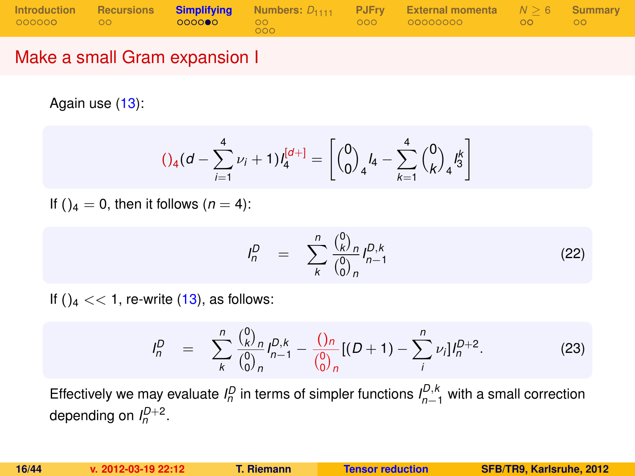|                               |  |     | Introduction Recursions Simplifying Numbers: $D_{1111}$ PJFry External momenta $N > 6$ Summary |  |
|-------------------------------|--|-----|------------------------------------------------------------------------------------------------|--|
| ◎◎◎◎◎◎    ◎◎ <b>◎◎◎◎●◎</b> ◎◎ |  | 000 |                                                                                                |  |

#### Make a small Gram expansion I

Again use [\(13\)](#page-10-0):

<span id="page-15-1"></span>
$$
()_{4}(d - \sum_{i=1}^{4} \nu_{i} + 1)l_{4}^{[d+]} = \left[{0 \choose 0}_{4}l_{4} - \sum_{k=1}^{4} {0 \choose k}_{4}l_{3}^{k} \right]
$$

If ( $a = 0$ , then it follows ( $n = 4$ ):

$$
P_n^D = \sum_{k}^{n} \frac{\binom{0}{k} n}{\binom{0}{0} n} P_{n-1}^{D,k}
$$
 (22)

If  $()_4 \ll 1$ , re-write  $(13)$ , as follows:

<span id="page-15-0"></span>
$$
I_n^D = \sum_{k}^{n} \frac{\binom{0}{k} n}{\binom{0}{0} n} I_{n-1}^{D,k} - \frac{\binom{0}{n} n}{\binom{0}{0} n} [(D+1) - \sum_{i}^{n} \nu_i] I_n^{D+2}.
$$
 (23)

Effectively we may evaluate  $I_n^D$  in terms of simpler functions  $I_{n-1}^{D,k}$  with a small correction depending on  $I_n^{D+2}$ .

*I*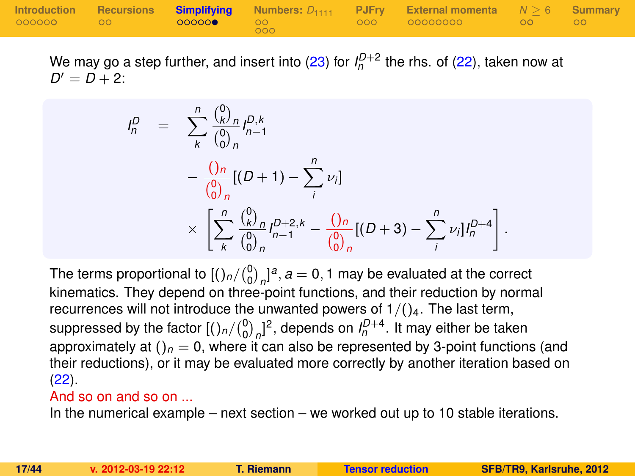|           |  |       | Introduction Recursions Simplifying Numbers: $D_{1111}$ PJFry External momenta $N \ge 6$ Summary |  |
|-----------|--|-------|--------------------------------------------------------------------------------------------------|--|
| 000000 00 |  | LOOO! |                                                                                                  |  |

We may go a step further, and insert into [\(23\)](#page-15-0) for  $I_n^{D+2}$  the rhs. of [\(22\)](#page-15-1), taken now at  $D' = D + 2$ :

$$
I_n^D = \sum_{k}^{n} \frac{\binom{0}{k} n}{\binom{0}{0}} I_{n-1}^{D,k}
$$
  
- 
$$
\frac{\binom{n}{0} \binom{n}{0}}{n} [(D+1) - \sum_{i}^{n} \nu_i]
$$
  

$$
\times \left[ \sum_{k}^{n} \frac{\binom{0}{k} n}{\binom{0}{0}} I_{n-1}^{D+2,k} - \frac{\binom{0}{n} \binom{n}{0}}{n} [(D+3) - \sum_{i}^{n} \nu_i] I_n^{D+4} \right]
$$

The terms proportional to  $\left[\binom{0}{0}\right]_n^a$ ,  $a=0,1$  may be evaluated at the correct kinematics. They depend on three-point functions, and their reduction by normal recurrences will not introduce the unwanted powers of  $1/()_{4}$ . The last term, suppressed by the factor  $[(\binom{0}{0}_n]^2]$ , depends on  $I_n^{D+4}$ . It may either be taken approximately at  $()$ <sub>n</sub> = 0, where it can also be represented by 3-point functions (and their reductions), or it may be evaluated more correctly by another iteration based on  $(22)$ .

#### And so on and so on ...

In the numerical example – next section – we worked out up to 10 stable iterations.

.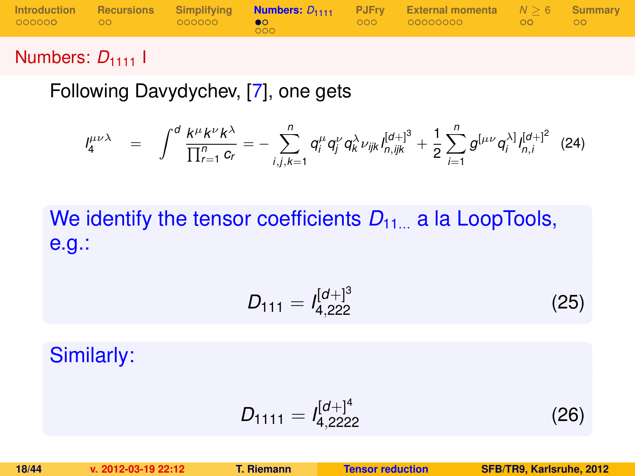|           |                   |     | Introduction Recursions Simplifying <b>Numbers:</b> $D_{1111}$ PJFry External momenta $N > 6$ Summary |  |
|-----------|-------------------|-----|-------------------------------------------------------------------------------------------------------|--|
| 000000 00 | 2000000 <b>€0</b> | റററ |                                                                                                       |  |

## Numbers: D<sub>1111</sub> |

Following Davydychev, [\[7\]](#page-42-0), one gets

$$
J_4^{\mu\nu\lambda} = \int^d \frac{k^{\mu}k^{\nu}k^{\lambda}}{\prod_{r=1}^n c_r} = -\sum_{i,j,k=1}^n q_i^{\mu} q_j^{\nu} q_k^{\lambda} \nu_{ijk} I_{n,ijk}^{[d+]^3} + \frac{1}{2} \sum_{i=1}^n g^{[\mu\nu} q_i^{\lambda]} I_{n,i}^{[d+]^2} (24)
$$

# We identify the tensor coefficients  $D_{11}$  a la LoopTools, e.g.:

$$
D_{111} = I_{4,222}^{[d+]^3} \tag{25}
$$

Similarly:

<span id="page-17-0"></span>
$$
D_{1111} = I_{4,2222}^{[d+1]^4}
$$
 (26)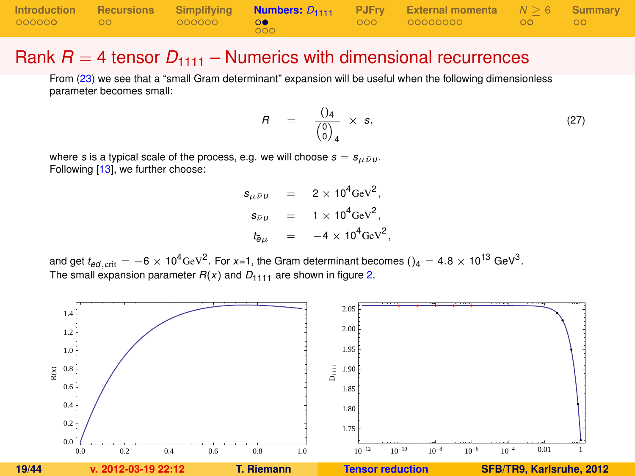|           |              |  | Introduction Recursions Simplifying <b>Numbers:</b> $D_{1111}$ PJFry External momenta $N > 6$ Summary |  |
|-----------|--------------|--|-------------------------------------------------------------------------------------------------------|--|
| 000000 00 | $-$ 000000 0 |  |                                                                                                       |  |

#### Rank  $R = 4$  tensor  $D_{1111}$  – Numerics with dimensional recurrences

From [\(23\)](#page-15-0) we see that a "small Gram determinant" expansion will be useful when the following dimensionless parameter becomes small:

<span id="page-18-1"></span>
$$
R = \frac{()_4}{\begin{pmatrix} 0 \\ 0 \end{pmatrix}_4} \times s, \tag{27}
$$

where *s* is a typical scale of the process, e.g. we will choose  $s = s_{ij\bar{i}jj}$ . Following [\[13\]](#page-43-4), we further choose:

> $s_{\mu\bar{\nu}\mu}$  = 2 × 10<sup>4</sup>GeV<sup>2</sup>,  $s_{\bar{\nu}u}$  = 1 × 10<sup>4</sup>GeV<sup>2</sup>,  $t_{\bar{e}\mu}$  =  $-4 \times 10^4 \text{GeV}^2$ ,

and get  $t_{ed,\rm crit}=-6\times10^4$ GeV $^2$ . For x=1, the Gram determinant becomes ()<sub>4</sub> = 4.8  $\times$  10<sup>13</sup> GeV $^3$ . The small expansion parameter  $R(x)$  and  $D_{1111}$  are shown in figure [2.](#page-18-0)

<span id="page-18-0"></span>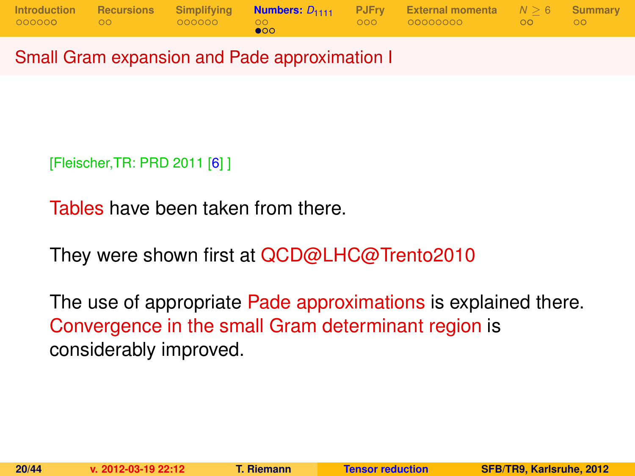|  |           | Introduction Recursions Simplifying <b>Numbers:</b> $D_{1111}$ PJFry External momenta $N \ge 6$ Summary |  |
|--|-----------|---------------------------------------------------------------------------------------------------------|--|
|  | $\bullet$ |                                                                                                         |  |

Small Gram expansion and Pade approximation I

[Fleischer,TR: PRD 2011 [\[6\]](#page-42-3) ]

Tables have been taken from there.

They were shown first at QCD@LHC@Trento2010

The use of appropriate Pade approximations is explained there. Convergence in the small Gram determinant region is considerably improved.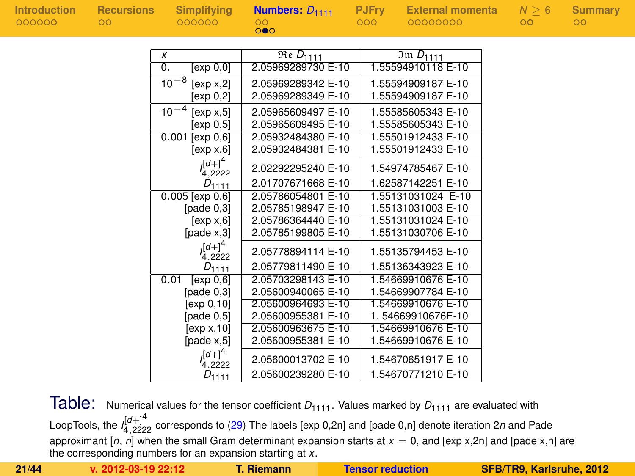| <b>Introduction</b> | <b>Recursions</b> | <b>Simplifying</b>      | Numbers: $D_{1111}$         | <b>PJFry</b>     | <b>External momenta</b>    | $N \geq 6$ | Summary |
|---------------------|-------------------|-------------------------|-----------------------------|------------------|----------------------------|------------|---------|
| 000000              | $\circ$           | 000000                  | OO<br>$\circ \bullet \circ$ | 000 <sub>o</sub> | 00000000                   | $\circ$    | $\circ$ |
|                     |                   |                         |                             |                  |                            |            |         |
|                     |                   | x                       | $Re D_{1111}$               |                  | $\overline{3m}$ $D_{1111}$ |            |         |
|                     |                   | 0.<br>[exp 0,0]         | 2.05969289730 E-10          |                  | 1.55594910118 E-10         |            |         |
|                     |                   | $10^{-8}$<br>[exp x, 2] | 2.05969289342 E-10          |                  | 1.55594909187 E-10         |            |         |
|                     |                   | [exp 0,2]               | 2.05969289349 E-10          |                  | 1.55594909187 E-10         |            |         |
|                     |                   | $10^{-4}$<br>[exp x, 5] | 2.05965609497 E-10          |                  | 1.55585605343 E-10         |            |         |
|                     |                   | [exp 0.5]               | 2.05965609495 E-10          |                  | 1.55585605343 E-10         |            |         |
|                     |                   | $0.001$ [exp $0,6$ ]    | 2.05932484380 E-10          |                  | 1.55501912433 E-10         |            |         |
|                     |                   | [exp x,6]               | 2.05932484381 E-10          |                  | 1.55501912433 E-10         |            |         |
|                     |                   | $I_{4,2222}^{[d+]^4}$   | 2.02292295240 E-10          |                  | 1.54974785467 E-10         |            |         |
|                     |                   | $D_{1111}$              | 2.01707671668 E-10          |                  | 1.62587142251 E-10         |            |         |
|                     |                   | $0.005$ [exp $0,6$ ]    | 2.05786054801 E-10          |                  | 1.55131031024 E-10         |            |         |
|                     |                   | [ $pade 0,3$ ]          | 2.05785198947 E-10          |                  | 1.55131031003 E-10         |            |         |
|                     |                   | [exp x, 6]              | 2.05786364440 E-10          |                  | 1.55131031024 E-10         |            |         |
|                     |                   | $[{\rm pade} \; x, 3]$  | 2.05785199805 E-10          |                  | 1.55131030706 E-10         |            |         |
|                     |                   | $I_{4,2222}^{[d+]^4}$   | 2.05778894114 E-10          |                  | 1.55135794453 E-10         |            |         |
|                     |                   | $D_{1111}$              | 2.05779811490 E-10          |                  | 1.55136343923 E-10         |            |         |
|                     |                   | [exp 0.6]<br>0.01       | 2.05703298143 E-10          |                  | 1.54669910676 E-10         |            |         |
|                     |                   | [pade $0,3$ ]           | 2.05600940065 E-10          |                  | 1.54669907784 E-10         |            |         |
|                     |                   | [ $exp 0,10$ ]          | 2.05600964693 E-10          |                  | 1.54669910676 E-10         |            |         |
|                     |                   | [page 0, 5]             | 2.05600955381 E-10          |                  | 1.54669910676E-10          |            |         |
|                     |                   | [exp x, 10]             | 2.05600963675 E-10          |                  | 1.54669910676 E-10         |            |         |
|                     |                   | [pade $x,5$ ]           | 2.05600955381 E-10          |                  | 1.54669910676 E-10         |            |         |
|                     |                   | $I_{4,2222}^{[d+]^4}$   | 2.05600013702 E-10          |                  | 1.54670651917 E-10         |            |         |
|                     |                   | $D_{1111}$              | 2.05600239280 E-10          |                  | 1.54670771210 E-10         |            |         |

Table: Numerical values for the tensor coefficient  $D_{1111}$ . Values marked by  $D_{1111}$  are evaluated with LoopTools, the *I* [*d*+]4 <sup>4</sup>,<sup>2222</sup> corresponds to [\(29\)](#page-26-0) The labels [exp 0,2n] and [pade 0,n] denote iteration 2*n* and Pade approximant  $[n, n]$  when the small Gram determinant expansion starts at  $x = 0$ , and  $[\exp x, 2n]$  and  $[\text{pade } x, n]$  are the corresponding numbers for an expansion starting at *x*.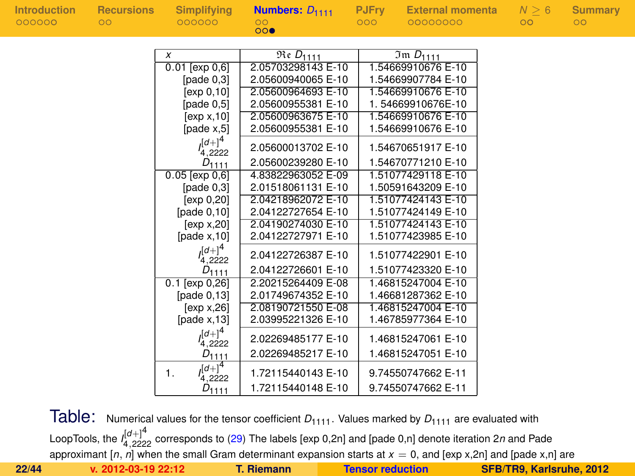| <b>Introduction</b><br><b>Recursions</b> | <b>Simplifying</b>                            | Numbers: $D_{1111}$ | <b>PJFry</b> | <b>External momenta</b> | N > 6 | Summary         |
|------------------------------------------|-----------------------------------------------|---------------------|--------------|-------------------------|-------|-----------------|
| 000000<br>$\circ$                        | 000000                                        | OO<br>000           | 000          | 00000000                | OO    | $\overline{O}O$ |
|                                          |                                               |                     |              |                         |       |                 |
|                                          | X                                             | $Re D_{1111}$       |              | $Im D_{1111}$           |       |                 |
|                                          | $0.01$ [exp $0,6$ ]                           | 2.05703298143 E-10  |              | 1.54669910676 E-10      |       |                 |
|                                          | [pade $0,3$ ]                                 | 2.05600940065 E-10  |              | 1.54669907784 E-10      |       |                 |
|                                          | [ $exp 0, 10$ ]                               | 2.05600964693 E-10  |              | 1.54669910676 E-10      |       |                 |
|                                          | [pade $0,5$ ]                                 | 2.05600955381 E-10  |              | 1.54669910676E-10       |       |                 |
|                                          | [exp x, 10]                                   | 2.05600963675 E-10  |              | 1.54669910676 E-10      |       |                 |
|                                          | [page x, 5]                                   | 2.05600955381 E-10  |              | 1.54669910676 E-10      |       |                 |
|                                          | $e^{[d+1]^4}$<br>4,2222                       | 2.05600013702 E-10  |              | 1.54670651917 E-10      |       |                 |
|                                          | $D_{1111}$                                    | 2.05600239280 E-10  |              | 1.54670771210 E-10      |       |                 |
|                                          | $0.05$ [exp $0,6$ ]                           | 4.83822963052 E-09  |              | 1.51077429118 E-10      |       |                 |
|                                          | [pade $0,3$ ]                                 | 2.01518061131 E-10  |              | 1.50591643209 E-10      |       |                 |
|                                          | [ $exp 0,20$ ]                                | 2.04218962072 E-10  |              | 1.51077424143 E-10      |       |                 |
|                                          | [pade $0,10$ ]                                | 2.04122727654 E-10  |              | 1.51077424149 E-10      |       |                 |
|                                          | [exp x, 20]                                   | 2.04190274030 E-10  |              | 1.51077424143 E-10      |       |                 |
|                                          | [pade $x$ , 10]                               | 2.04122727971 E-10  |              | 1.51077423985 E-10      |       |                 |
|                                          | $(a+1)^4$<br>4,2222                           | 2.04122726387 E-10  |              | 1.51077422901 E-10      |       |                 |
|                                          | $D_{1111}$                                    | 2.04122726601 E-10  |              | 1.51077423320 E-10      |       |                 |
|                                          | $0.1$ [exp $0,26$ ]                           | 2.20215264409 E-08  |              | 1.46815247004 E-10      |       |                 |
|                                          | [pade $0,13$ ]                                | 2.01749674352 E-10  |              | 1.46681287362 E-10      |       |                 |
|                                          | [exp x, 26]                                   | 2.08190721550 E-08  |              | 1.46815247004 E-10      |       |                 |
|                                          | [pade $x$ , 13]                               | 2.03995221326 E-10  |              | 1.46785977364 E-10      |       |                 |
|                                          | $(a+1)^4$<br>4,2222                           | 2.02269485177 E-10  |              | 1.46815247061 E-10      |       |                 |
|                                          | $D_{1111}$                                    | 2.02269485217 E-10  |              | 1.46815247051 E-10      |       |                 |
|                                          | $\sqrt{[d+]^{4}}$<br>$\mathbf{1}$ .<br>4,2222 | 1.72115440143 E-10  |              | 9.74550747662 E-11      |       |                 |
|                                          | $D_{1111}$                                    | 1.72115440148 E-10  |              | 9.74550747662 E-11      |       |                 |
|                                          |                                               |                     |              |                         |       |                 |

Table: Numerical values for the tensor coefficient  $D_{1111}$ . Values marked by  $D_{1111}$  are evaluated with LoopTools, the *I* [*d*+]4 <sup>4</sup>,<sup>2222</sup> corresponds to [\(29\)](#page-26-0) The labels [exp 0,2n] and [pade 0,n] denote iteration 2*n* and Pade approximant  $[n, n]$  when the small Gram determinant expansion starts at  $x = 0$ , and [exp x,2n] and [pade x,n] are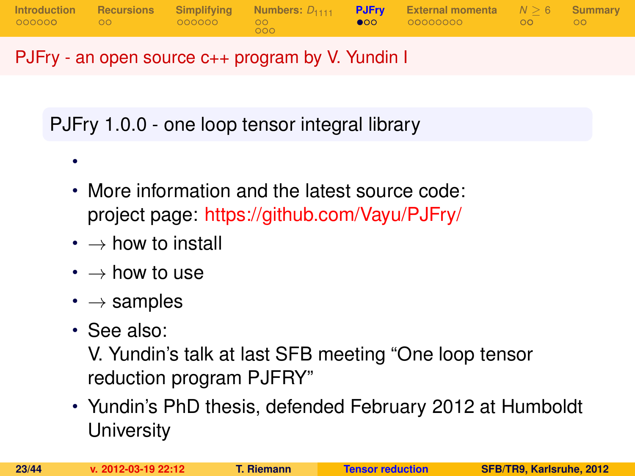

## PJFry - an open source c++ program by V. Yundin I

PJFry 1.0.0 - one loop tensor integral library

- More information and the latest source code: project page: <https://github.com/Vayu/PJFry/>
- $\cdot \rightarrow$  how to install
- $\cdot \rightarrow$  how to use
- $\cdot \rightarrow$  samples
- See also:

•

<span id="page-22-0"></span>V. Yundin's talk at last SFB meeting "One loop tensor reduction program PJFRY"

• Yundin's PhD thesis, defended February 2012 at Humboldt **University**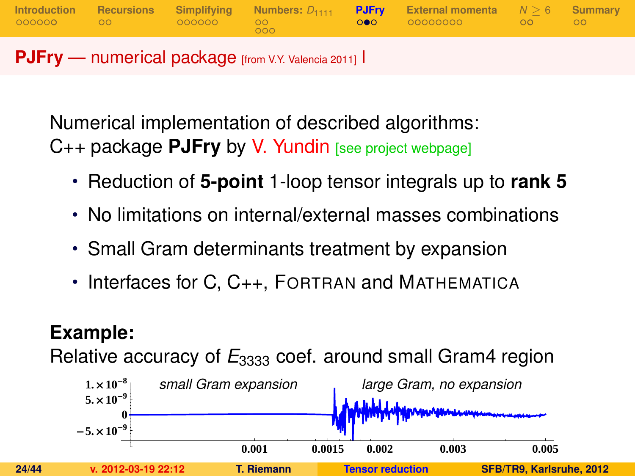**[Introduction](#page-1-0) [Recursions](#page-9-0) [Simplifying](#page-11-0) [Numbers:](#page-17-0)** *D*<sup>1111</sup> **[PJFry](#page-22-0) [External momenta](#page-25-0)** *N* [≥](#page-34-0) 6 **[Summary](#page-41-0)**  $000$ **PJFry** — numerical package [from V.Y. Valencia 2011] I

Numerical implementation of described algorithms: C++ package **PJFry** by V. Yundin [see project webpage]

- Reduction of **5-point** 1-loop tensor integrals up to **rank 5**
- No limitations on internal/external masses combinations
- Small Gram determinants treatment by expansion
- Interfaces for C, C++, FORTRAN and MATHEMATICA

# **Example:**

Relative accuracy of  $E_{3333}$  coef. around small Gram4 region

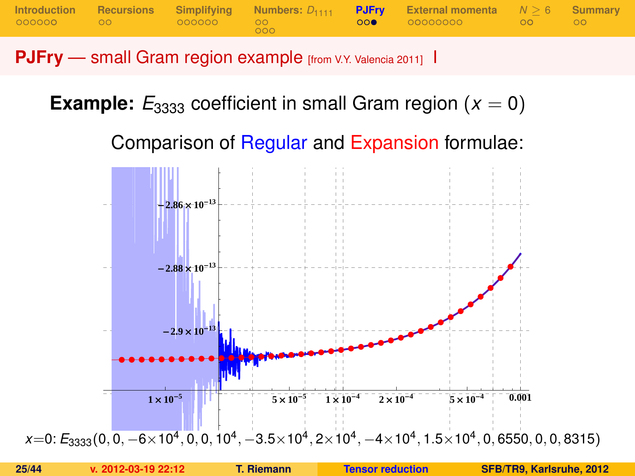**[Introduction](#page-1-0) [Recursions](#page-9-0) [Simplifying](#page-11-0) [Numbers:](#page-17-0)** *D*<sup>1111</sup> **[PJFry](#page-22-0) [External momenta](#page-25-0)** *N* [≥](#page-34-0) 6 **[Summary](#page-41-0)**  $000$ 

**PJFry** — small Gram region example [from V.Y. Valencia 2011] I

**Example:**  $E_{3333}$  coefficient in small Gram region ( $x = 0$ )

Comparison of Regular and Expansion formulae:

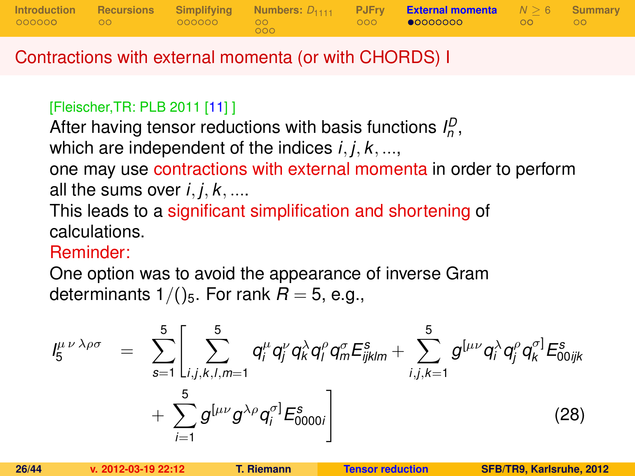

### Contractions with external momenta (or with CHORDS) I

#### [Fleischer,TR: PLB 2011 [\[11\]](#page-43-2) ]

After having tensor reductions with basis functions  $I_n^D$ ,

which are independent of the indices *i*, *j*, *k*, ...,

one may use contractions with external momenta in order to perform all the sums over  $i, j, k, \ldots$ 

This leads to a significant simplification and shortening of calculations.

#### Reminder:

One option was to avoid the appearance of inverse Gram determinants  $1/()$ <sub>5</sub>. For rank  $R = 5$ , e.g.,

<span id="page-25-0"></span>
$$
I_{5}^{\mu\nu\lambda\rho\sigma} = \sum_{s=1}^{5} \left[ \sum_{i,j,k,l,m=1}^{5} q_{i}^{\mu} q_{j}^{\nu} q_{k}^{\lambda} q_{l}^{\rho} q_{m}^{\sigma} E_{ijklm}^{s} + \sum_{i,j,k=1}^{5} g^{[\mu\nu} q_{i}^{\lambda} q_{j}^{\rho} q_{k}^{\sigma}] E_{00ijk}^{s} + \sum_{i=1}^{5} g^{[\mu\nu} g^{\lambda\rho} q_{i}^{\sigma}] E_{0000i}^{s} \right]
$$
(28)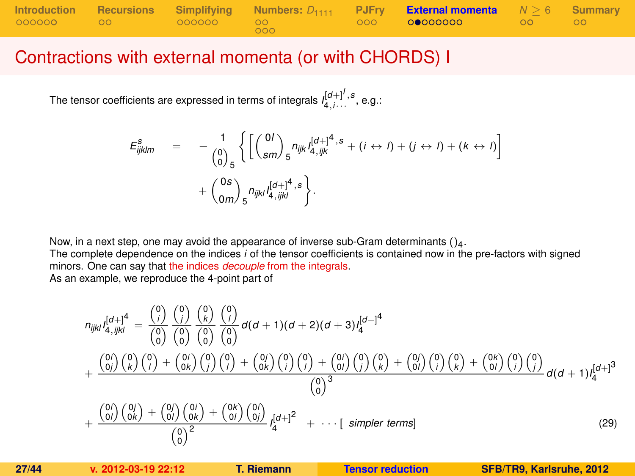|           |                 |     | Introduction Recursions Simplifying Numbers: $D_{1111}$ PJFry External momenta $N \ge 6$ Summary |         |  |
|-----------|-----------------|-----|--------------------------------------------------------------------------------------------------|---------|--|
| 000000 00 | - 000000 - 00 - | 000 | $-000$ 00000000 $-$                                                                              | ം റെ റെ |  |

#### Contractions with external momenta (or with CHORDS) I

The tensor coefficients are expressed in terms of integrals  $l_{4,i\cdots}^{[d+]^I,s}$  , e.g.:

$$
E_{ijklm}^{s} = -\frac{1}{\binom{0}{0}_{5}} \left\{ \left[ \binom{0I}{sm} _{5} n_{ijk} I_{4,ijk}^{[d+]^{4}, s} + (i \leftrightarrow I) + (j \leftrightarrow I) + (k \leftrightarrow I) \right] + \binom{0s}{0m} _{5} n_{ijkl} I_{4,ijkl}^{[d+]^{4}, s} \right\}.
$$

Now, in a next step, one may avoid the appearance of inverse sub-Gram determinants ()<sup>4</sup> .

The complete dependence on the indices *i* of the tensor coefficients is contained now in the pre-factors with signed minors. One can say that the indices *decouple* from the integrals.

As an example, we reproduce the 4-point part of

<span id="page-26-0"></span>
$$
n_{ijkl} \int_{4\sqrt{ijkl}}^{[d+1]^4} = \frac{\binom{0}{i}}{\binom{0}{0}} \frac{\binom{0}{i}}{\binom{0}{0}} \frac{\binom{0}{k}}{\binom{0}{0}} \frac{\binom{0}{0}}{\binom{0}{0}} d(d+1)(d+2)(d+3) I_4^{[d+1]^4}
$$
  
+ 
$$
\frac{\binom{0}{i}}{\binom{0}{j}} \binom{0}{k} \binom{0}{j} \binom{0}{j} \binom{0}{j} \binom{0}{j} \binom{0}{j} \binom{0}{j} \binom{0}{j} \binom{0}{k} \binom{0}{j} \binom{0}{k} \binom{0}{j} \binom{0}{k} \binom{0}{j} \binom{0}{k} \binom{0}{j} \binom{0}{k} \binom{0}{j} \binom{0}{k} \binom{0}{j} \binom{0}{k} \binom{0}{j} \binom{0}{k} \binom{0}{k} \binom{0}{k} \binom{0}{k} \binom{0}{k} \binom{0}{k} \binom{0}{k} \binom{0}{k} \binom{0}{k} \binom{0}{k} \binom{0}{k} \binom{0}{k} \binom{0}{k} \binom{0}{k} \binom{0}{k} \binom{0}{k} \binom{0}{k} \binom{0}{k} \binom{0}{k} \binom{0}{k} \binom{0}{k} \binom{0}{k} \binom{0}{k} \binom{0}{k} \binom{0}{k} \binom{0}{k} \binom{0}{k} \binom{0}{k} \binom{0}{k} \binom{0}{k} \binom{0}{k} \binom{0}{k} \binom{0}{k} \binom{0}{k} \binom{0}{k} \binom{0}{k} \binom{0}{k} \binom{0}{k} \binom{0}{k} \binom{0}{k} \binom{0}{k} \binom{0}{k} \binom{0}{k} \binom{0}{k} \binom{0}{k} \binom{0}{k} \binom{0}{k} \binom{0}{k} \binom{0}{k} \binom{0}{k} \binom{0}{k} \binom{0}{k} \binom{0}{k} \binom{0}{k} \binom{0}{
$$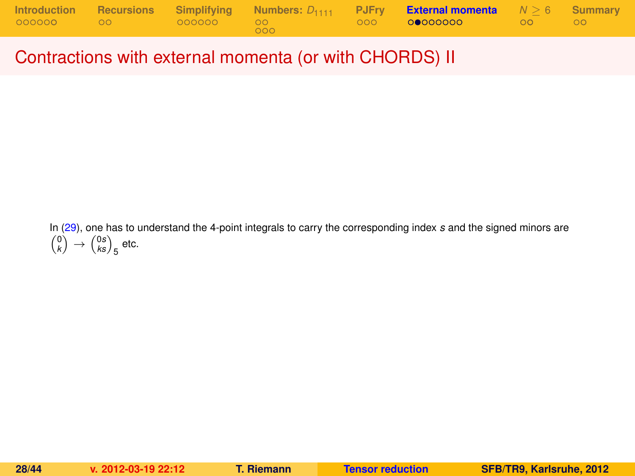|              |               |                  | Introduction Recursions Simplifying Numbers: $D_{1111}$ PJFry <b>External momenta</b> $N \ge 6$ Summary |  |
|--------------|---------------|------------------|---------------------------------------------------------------------------------------------------------|--|
| 000000 00 00 | .000000 00 00 | 000 <sup>2</sup> |                                                                                                         |  |

Contractions with external momenta (or with CHORDS) II

In [\(29\)](#page-26-0), one has to understand the 4-point integrals to carry the corresponding index *s* and the signed minors are  $\binom{0}{k} \rightarrow \binom{0s}{ks}_{5}$  etc.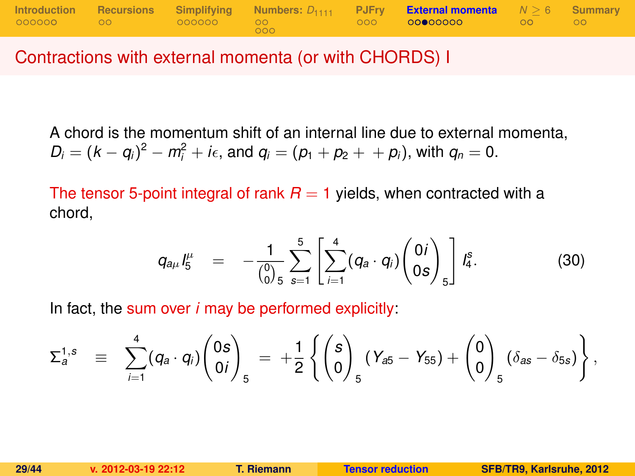

Contractions with external momenta (or with CHORDS) I

A chord is the momentum shift of an internal line due to external momenta,  $D_i = (k - q_i)^2 - m_i^2 + i\epsilon$ , and  $q_i = (p_1 + p_2 + p_i)$ , with  $q_n = 0$ .

The tensor 5-point integral of rank  $R = 1$  yields, when contracted with a chord,

$$
q_{a\mu}I_5^{\mu} = -\frac{1}{\binom{0}{0}} \sum_{s=1}^5 \left[ \sum_{i=1}^4 (q_a \cdot q_i) \binom{0}{0s} \right] I_4^s. \tag{30}
$$

In fact, the sum over *i* may be performed explicitly:

$$
\Sigma_a^{1,s} = \sum_{i=1}^4 (q_a \cdot q_i) \binom{0s}{0i}_5 = +\frac{1}{2} \left\{ \binom{s}{0}_5 (Y_{a5} - Y_{55}) + \binom{0}{0}_5 (\delta_{as} - \delta_{5s}) \right\},
$$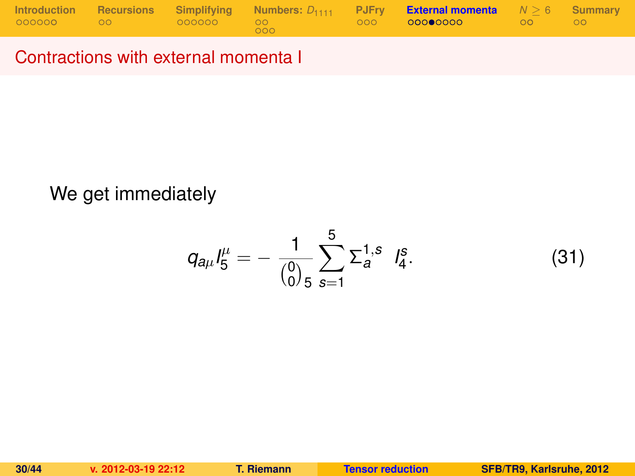|           |                  |     | Introduction Recursions Simplifying Numbers: $D_{1111}$ PJFry <b>External momenta</b> $N > 6$ Summary |                     |  |
|-----------|------------------|-----|-------------------------------------------------------------------------------------------------------|---------------------|--|
| 000000 00 | $\sim$ 000000 00 | 000 | 000 0 <b>0000000</b> 000                                                                              | $\sim$ 00 00 $\sim$ |  |

# We get immediately

$$
q_{a\mu}I_5^{\mu}=-\frac{1}{\binom{0}{0.5}}\sum_{s=1}^5\Sigma_a^{1,s}I_4^s.
$$
 (31)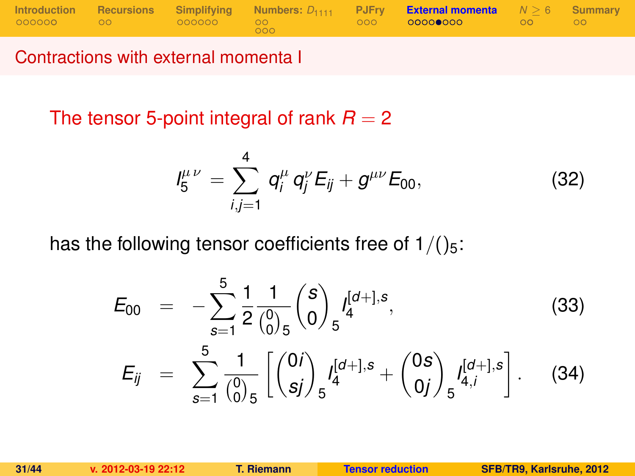|           |                 |       | Introduction Recursions Simplifying Numbers: $D_{1111}$ PJFry <b>External momenta</b> $N > 6$ Summary |                     |  |
|-----------|-----------------|-------|-------------------------------------------------------------------------------------------------------|---------------------|--|
| 000000 00 | $000000$ 000000 | LOOO! | $\sim$ 000 000000000 $\sim$                                                                           | $\sim$ 00 00 $\sim$ |  |

The tensor 5-point integral of rank  $R = 2$ 

<span id="page-30-0"></span>
$$
I_5^{\mu\nu} = \sum_{i,j=1}^4 q_i^{\mu} q_j^{\nu} E_{ij} + g^{\mu\nu} E_{00}, \qquad (32)
$$

has the following tensor coefficients free of  $1/()_{5}$ :

$$
E_{00} = -\sum_{s=1}^{5} \frac{1}{2} \frac{1}{\binom{0}{0}} \binom{s}{0} f_4^{[d+],s},
$$
\n
$$
E_{ij} = \sum_{s=1}^{5} \frac{1}{\binom{0}{0}} \left[ \binom{0i}{sj} f_5^{[d+],s} + \binom{0s}{0j} f_{5}^{[d+],s} \right].
$$
\n(34)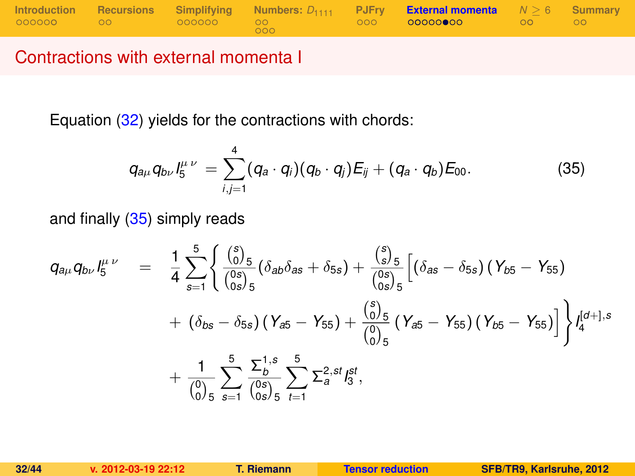|             |  |            | Introduction Recursions Simplifying Numbers: $D_{1111}$ PJFry External momenta $N \ge 6$ Summary |  |
|-------------|--|------------|--------------------------------------------------------------------------------------------------|--|
| 000000 00 0 |  | <b>COO</b> | 000 <b>00000000</b> 00 00                                                                        |  |

Equation [\(32\)](#page-30-0) yields for the contractions with chords:

<span id="page-31-0"></span>
$$
q_{a\mu}q_{b\nu}l_5^{\mu\nu} = \sum_{i,j=1}^4 (q_a \cdot q_i)(q_b \cdot q_j) E_{ij} + (q_a \cdot q_b) E_{00}.
$$
 (35)

and finally [\(35\)](#page-31-0) simply reads

$$
q_{a\mu}q_{b\nu}I_5^{\mu\nu} = \frac{1}{4}\sum_{s=1}^5 \left\{ \frac{\binom{s}{0.5}}{\binom{0 s}{0 s.5}} (\delta_{ab}\delta_{as} + \delta_{5s}) + \frac{\binom{s}{3.5}}{\binom{0 s}{0 s.5}} \left[ (\delta_{as} - \delta_{5s}) (\gamma_{b5} - \gamma_{55}) + (\delta_{b s} - \delta_{5s}) (\gamma_{a5} - \gamma_{5s}) + (\delta_{b s} - \delta_{5s}) (\gamma_{a5} - \gamma_{5s}) + \frac{\binom{s}{0.5}}{\binom{0.5}{0.5}} (\gamma_{a5} - \gamma_{5s}) (\gamma_{b5} - \gamma_{5s}) \right] \right\} I_4^{[a+],s}
$$
  
+ 
$$
\frac{1}{\binom{0}{0.5}} \sum_{s=1}^5 \frac{\sum_{b}^{1, s}}{\binom{0 s}{0 s}} \sum_{t=1}^5 \sum_{s=1}^{2, st} I_5^{st},
$$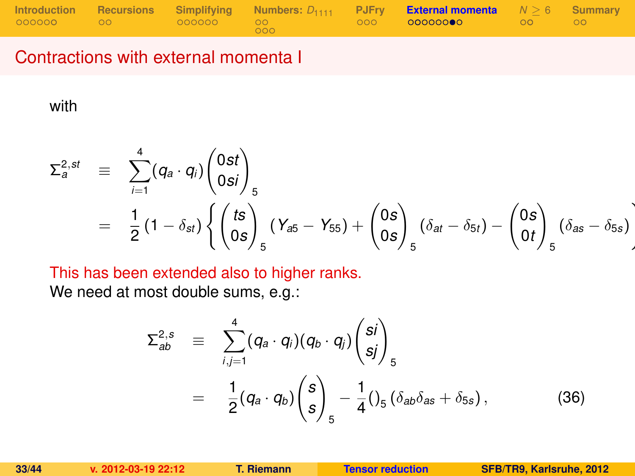|  |                 |            | Introduction Recursions Simplifying Numbers: $D_{1111}$ PJFry External momenta $N \ge 6$ Summary |  |
|--|-----------------|------------|--------------------------------------------------------------------------------------------------|--|
|  | - 000000 - 00 - | <b>COO</b> | $0000$ 000000000 00 00 00                                                                        |  |

with

$$
\Sigma_{a}^{2,st} \equiv \sum_{i=1}^{4} (q_{a} \cdot q_{i}) \begin{pmatrix} 0st \\ 0si \end{pmatrix}_{5}
$$
  
=  $\frac{1}{2} (1 - \delta_{st}) \left\{ \begin{pmatrix} ts \\ 0s \end{pmatrix}_{5} (Y_{a5} - Y_{55}) + \begin{pmatrix} 0s \\ 0s \end{pmatrix}_{5} (\delta_{at} - \delta_{5t}) - \begin{pmatrix} 0s \\ 0t \end{pmatrix}_{5} (\delta_{as} - \delta_{5s}) \right\}$ 

This has been extended also to higher ranks.

We need at most double sums, e.g.:

$$
\Sigma_{ab}^{2,s} \equiv \sum_{i,j=1}^{4} (q_a \cdot q_i)(q_b \cdot q_j) \begin{pmatrix} si \\ sj \end{pmatrix}_{5}
$$
  

$$
= \frac{1}{2} (q_a \cdot q_b) \begin{pmatrix} s \\ s \end{pmatrix}_{5} - \frac{1}{4} (3_a \delta_{ab} \delta_{as} + \delta_{ss}), \qquad (36)
$$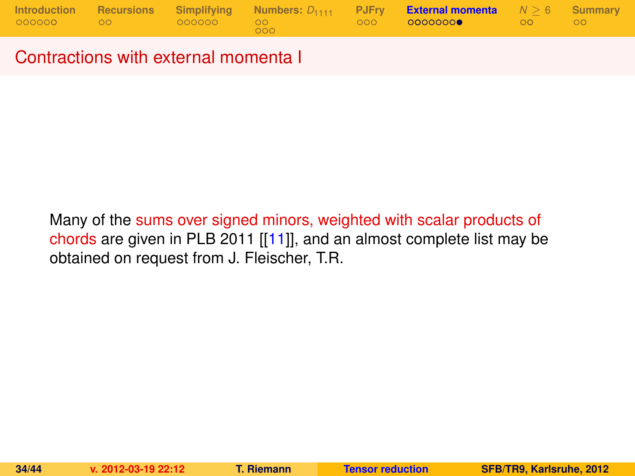|           |            |     | Introduction Recursions Simplifying Numbers: $D_{1111}$ PJFry <b>External momenta</b> $N > 6$ Summary |                     |  |
|-----------|------------|-----|-------------------------------------------------------------------------------------------------------|---------------------|--|
| 000000 00 | .000000 00 | 000 | 000 00000000 /                                                                                        | $\sim$ 00 00 $\sim$ |  |

Many of the sums over signed minors, weighted with scalar products of chords are given in PLB 2011 [[\[11\]](#page-43-2)], and an almost complete list may be obtained on request from J. Fleischer, T.R.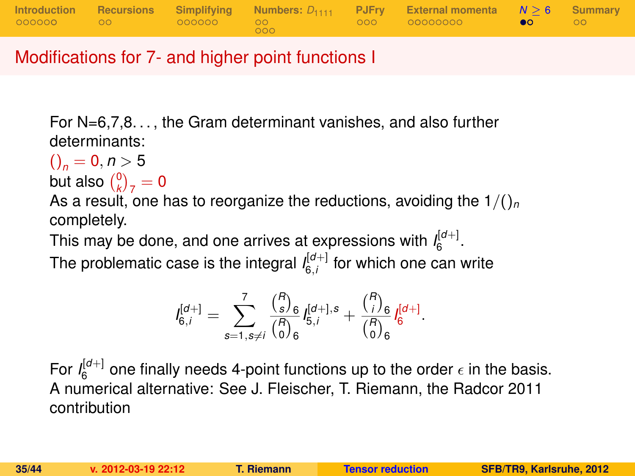

Modifications for 7- and higher point functions I

For N=6,7,8. . . , the Gram determinant vanishes, and also further determinants:

 $()_{n} = 0, n > 5$ 

but also  $\binom{0}{k}_7 = 0$ 

As a result, one has to reorganize the reductions, avoiding the  $1/($ <sub>*n*</sub> completely.

This may be done, and one arrives at expressions with  $I_6^{\lfloor d+1 \rfloor}$ .

The problematic case is the integral  $I_{6,i}^{[d+]}$  for which one can write

<span id="page-34-0"></span>
$$
I_{6,i}^{[d+] } = \sum_{s=1,s\neq i}^7 \frac{{R \choose s}_6}{{R \choose s}_6} I_{5,i}^{[d+],s} + \frac{{R \choose i}_6}{{R \choose 0}_6} I_{6}^{[d+]}.
$$

For  $I_6^{[d+]}$  one finally needs 4-point functions up to the order  $\epsilon$  in the basis. A numerical alternative: See J. Fleischer, T. Riemann, the Radcor 2011 contribution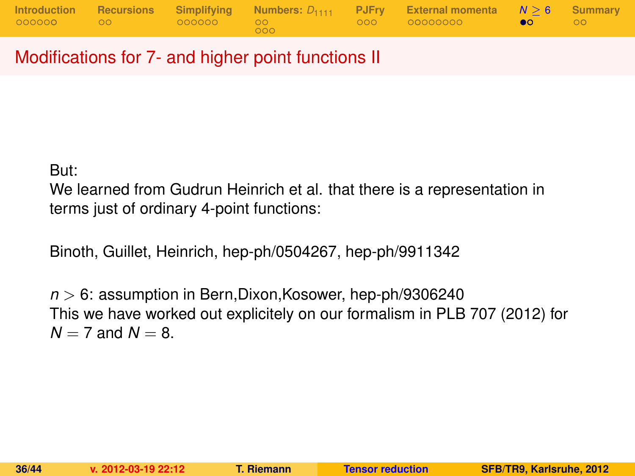|                     |  |     | Introduction Recursions Simplifying Numbers: $D_{1111}$ PJFry External momenta $N > 6$ Summary |  |
|---------------------|--|-----|------------------------------------------------------------------------------------------------|--|
| 000000 00 000000 00 |  | റററ |                                                                                                |  |

Modifications for 7- and higher point functions II

But:

We learned from Gudrun Heinrich et al. that there is a representation in terms just of ordinary 4-point functions:

Binoth, Guillet, Heinrich, hep-ph/0504267, hep-ph/9911342

*n* > 6: assumption in Bern,Dixon,Kosower, hep-ph/9306240 This we have worked out explicitely on our formalism in PLB 707 (2012) for  $N = 7$  and  $N = 8$ .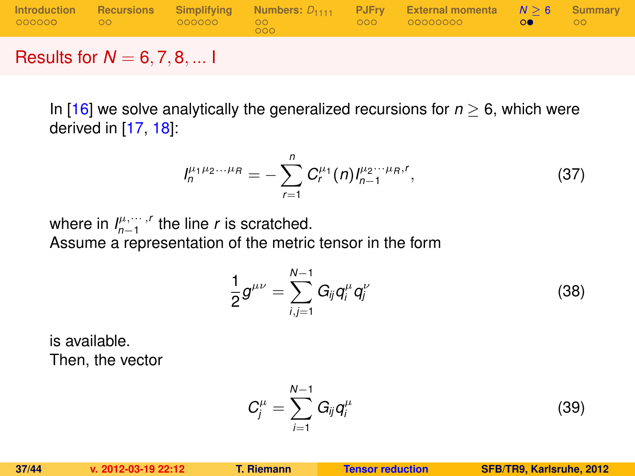|  | 000 <sub>1</sub> | Introduction Recursions Simplifying Numbers: $D_{1111}$ PJFry External momenta $N > 6$ Summary | ററ |
|--|------------------|------------------------------------------------------------------------------------------------|----|
|  |                  |                                                                                                |    |

### Results for *N* = 6, 7, 8, ... I

In [\[16\]](#page-43-6) we solve analytically the generalized recursions for *n* ≥ 6, which were derived in [\[17,](#page-43-7) [18\]](#page-43-8):

$$
I_n^{\mu_1\mu_2\ldots\mu_R} = -\sum_{r=1}^n C_r^{\mu_1}(n) I_{n-1}^{\mu_2\ldots\mu_R,r}, \qquad (37)
$$

where in  $I_{n-1}^{\mu, \cdots, r}$  the line *r* is scratched. Assume a representation of the metric tensor in the form

<span id="page-36-0"></span>
$$
\frac{1}{2}g^{\mu\nu}=\sum_{i,j=1}^{N-1}G_{ij}q_i^{\mu}q_j^{\nu}
$$
\n(38)

is available. Then, the vector

$$
C_j^{\mu} = \sum_{i=1}^{N-1} G_{ij} q_i^{\mu}
$$
 (39)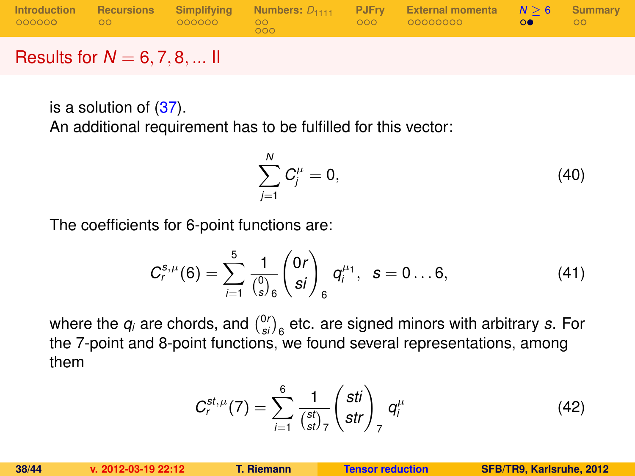|                  |  | 000 | Introduction Recursions Simplifying Numbers: $D_{1111}$ PJFry External momenta $N > 6$ Summary | ററ |
|------------------|--|-----|------------------------------------------------------------------------------------------------|----|
| ________________ |  |     |                                                                                                |    |

Results for  $N = 6, 7, 8, ...$  II

is a solution of [\(37\)](#page-36-0).

An additional requirement has to be fulfilled for this vector:

$$
\sum_{j=1}^{N} C_j^{\mu} = 0, \tag{40}
$$

The coefficients for 6-point functions are:

$$
C_r^{s,\mu}(\mathbf{6}) = \sum_{i=1}^5 \frac{1}{\binom{0}{s}_6} \binom{0r}{s i}_6 q_i^{\mu_1}, \ \ s = 0 \dots 6, \tag{41}
$$

where the  $q_i$  are chords, and  $\binom{0r}{s}$  etc. are signed minors with arbitrary *s*. For the 7-point and 8-point functions, we found several representations, among them

$$
C_r^{st,\mu}(7)=\sum_{i=1}^6\frac{1}{\binom{st}{st}_7}\binom{sti}{str}_7 q_i^{\mu}
$$
(42)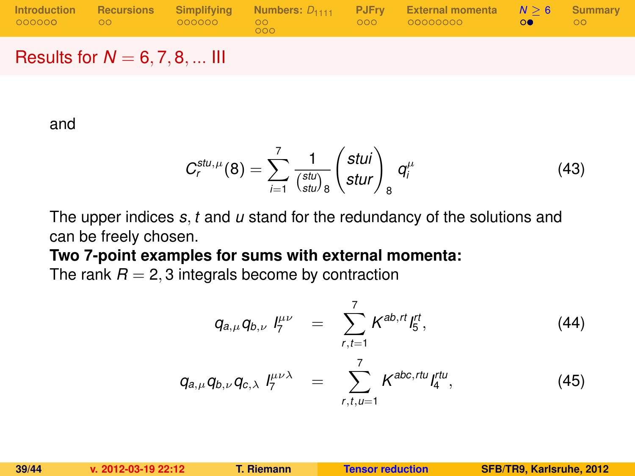|  |     | Introduction Recursions Simplifying Numbers: $D_{1111}$ PJFry External momenta $N > 6$ Summary |    |
|--|-----|------------------------------------------------------------------------------------------------|----|
|  | 000 |                                                                                                | ററ |
|  |     |                                                                                                |    |

## Results for  $N = 6, 7, 8, ...$  III

and

$$
C_r^{stu,\mu}(8) = \sum_{i=1}^7 \frac{1}{\binom{stu}{stu}} \begin{pmatrix} stui \\ stur \end{pmatrix}_8 q_i^{\mu}
$$
 (43)

The upper indices *s*, *t* and *u* stand for the redundancy of the solutions and can be freely chosen.

#### **Two 7-point examples for sums with external momenta:**

The rank  $R = 2, 3$  integrals become by contraction

*C*

$$
q_{a,\mu}q_{b,\nu} l_7^{\mu\nu} = \sum_{r,t=1}^7 K^{ab,rt} l_5^{rt},
$$
\n
$$
q_{a,\mu}q_{b,\nu}q_{c,\lambda} l_7^{\mu\nu\lambda} = \sum_{r,t,\nu=1}^7 K^{abc,rt\nu} l_4^{rt\nu},
$$
\n(45)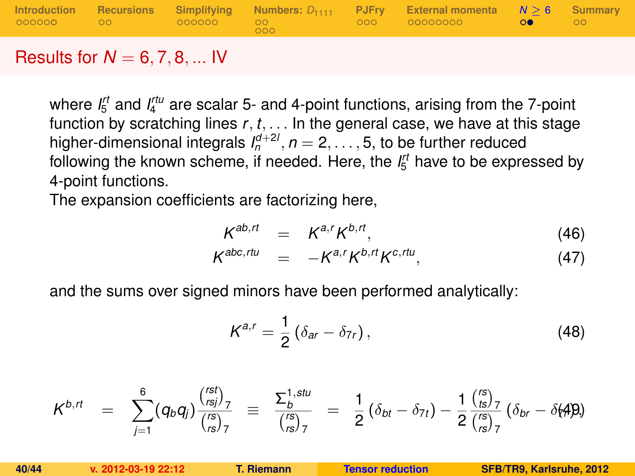|  |     | Introduction Recursions Simplifying Numbers: $D_{1111}$ PJFry External momenta $N > 6$ Summary |                   |               |
|--|-----|------------------------------------------------------------------------------------------------|-------------------|---------------|
|  | 000 |                                                                                                | <b>CONTRACTOR</b> | $_{\circ}$ oo |
|  |     |                                                                                                |                   |               |

#### Results for  $N = 6, 7, 8, ...$  IV

where  $I_5^{rt}$  and  $I_4^{rtu}$  are scalar 5- and 4-point functions, arising from the 7-point function by scratching lines *r*, *t*, . . . In the general case, we have at this stage higher-dimensional integrals  $I_n^{d+2l}$ ,  $n = 2, \ldots, 5$ , to be further reduced following the known scheme, if needed. Here, the *I rt* <sup>5</sup> have to be expressed by 4-point functions.

The expansion coefficients are factorizing here,

$$
K^{ab,rt} = K^{a,r} K^{b,rt}, \qquad (46)
$$

$$
K^{abc,rtu} = -K^{a,r}K^{b,rt}K^{c,rtu}, \qquad (47)
$$

and the sums over signed minors have been performed analytically:

$$
K^{a,r} = \frac{1}{2} \left( \delta_{ar} - \delta_{7r} \right), \tag{48}
$$

$$
K^{b,rt} = \sum_{j=1}^6 (q_b q_j) \frac{\binom{rsj}{rsj}}{\binom{rs}{rsj}} = \frac{\sum_b^{1,stu}}{\binom{rs}{rsj}} = \frac{1}{2} (\delta_{bt} - \delta_{7t}) - \frac{1}{2} \frac{\binom{rs}{tsj}}{\binom{rs}{rsj}} (\delta_{br} - \delta_{7t})
$$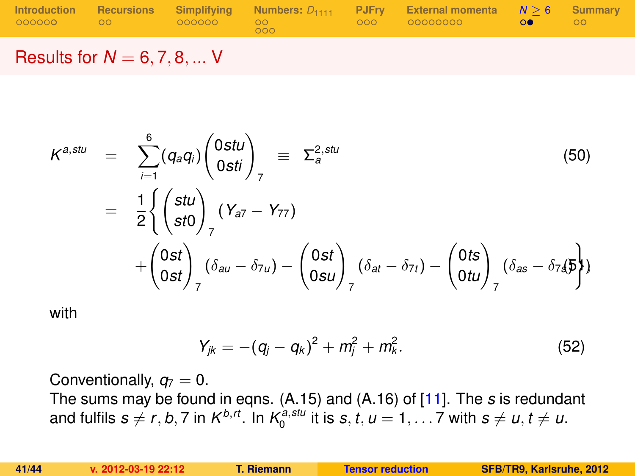|  |                  | Introduction Recursions Simplifying Numbers: $D_{1111}$ PJFry External momenta $N > 6$ Summary |  |
|--|------------------|------------------------------------------------------------------------------------------------|--|
|  | 000 <sub>0</sub> |                                                                                                |  |
|  |                  |                                                                                                |  |

Results for  $N = 6, 7, 8, ...$  V

$$
\begin{array}{rcl}\nK^{a,stu} & = & \sum_{i=1}^{6} (q_a q_i) \binom{0stu}{0sti} \Big|_{7} \equiv & \sum_{a}^{2, stu} \\
& = & \frac{1}{2} \left\{ \binom{stu}{st0} \right\}_{7} (Y_{a7} - Y_{77}) \\
& + \binom{0st}{0st} \left( \delta_{au} - \delta_{7u} \right) - \binom{0st}{0su} \left( \delta_{at} - \delta_{7t} \right) - \binom{0ts}{0tu} \left( \delta_{as} - \delta_{74} \right) \\
\end{array} \tag{50}
$$

with

$$
Y_{jk} = -(q_j - q_k)^2 + m_j^2 + m_k^2.
$$
 (52)

Conventionally,  $q_7 = 0$ . The sums may be found in eqns. (A.15) and (A.16) of [\[11\]](#page-43-2). The *s* is redundant and fulfils  $s \neq r, b, 7$  in  $K^{b,t}$ . In  $K_0^{a, stu}$  it is  $s, t, u = 1, \ldots 7$  with  $s \neq u, t \neq u$ .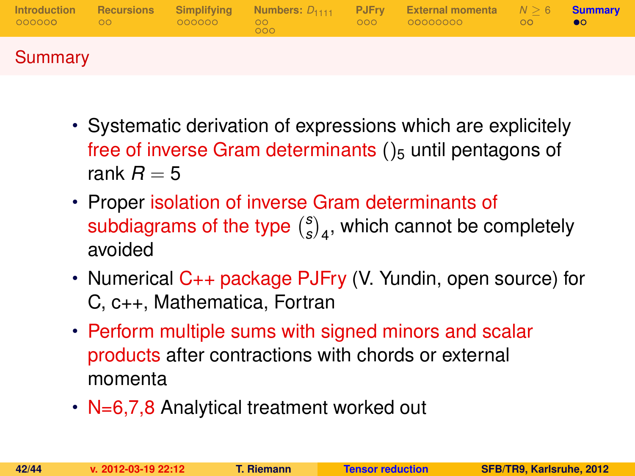| 000000 00 00 | $-000000$ | 00 <sup>o</sup><br>000 | Introduction Recursions Simplifying Numbers: $D_{1111}$ PJFry External momenta $N \geq 6$ Summary<br>000 00000000 0 | ററ | $\bullet$ |
|--------------|-----------|------------------------|---------------------------------------------------------------------------------------------------------------------|----|-----------|
| Summary      |           |                        |                                                                                                                     |    |           |

- Systematic derivation of expressions which are explicitely free of inverse Gram determinants  $()_5$  until pentagons of rank  $R = 5$
- Proper isolation of inverse Gram determinants of subdiagrams of the type *s*  $\binom{s}{s}_4$ , which cannot be completely avoided
- Numerical C++ package PJFry (V. Yundin, open source) for C, c++, Mathematica, Fortran
- Perform multiple sums with signed minors and scalar products after contractions with chords or external momenta
- <span id="page-41-0"></span>• N=6,7,8 Analytical treatment worked out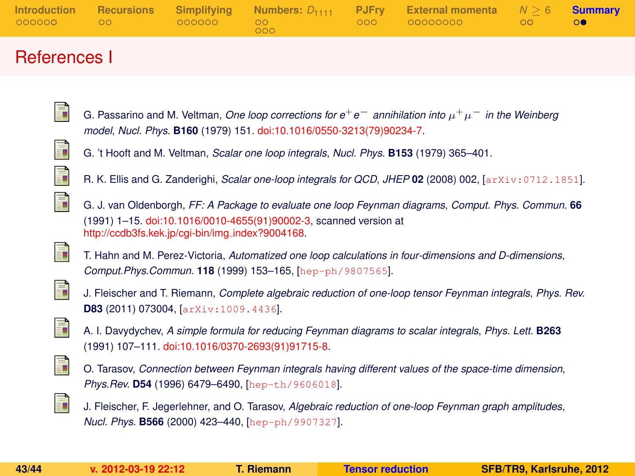|  | 000 | Introduction Recursions Simplifying Numbers: $D_{1111}$ PJFry External momenta $N \ge 6$ Summary |  |
|--|-----|--------------------------------------------------------------------------------------------------|--|
|  |     |                                                                                                  |  |

## References I

ā. G. Passarino and M. Veltman, *One loop corrections for e*+*e*<sup>−</sup> *annihilation into* µ <sup>+</sup>µ<sup>−</sup> *in the Weinberg model*, *Nucl. Phys.* **B160** (1979) 151. [doi:10.1016/0550-3213\(79\)90234-7.](http://dx.doi.org/10.1016/0550-3213(79)90234-7)



G. 't Hooft and M. Veltman, *Scalar one loop integrals*, *Nucl. Phys.* **B153** (1979) 365–401.





G. J. van Oldenborgh, *FF: A Package to evaluate one loop Feynman diagrams*, *Comput. Phys. Commun.* **66** (1991) 1–15. [doi:10.1016/0010-4655\(91\)90002-3,](http://dx.doi.org/10.1016/0010-4655(91)90002-3) scanned version at [http://ccdb3fs.kek.jp/cgi-bin/img](http://ccdb3fs.kek.jp/cgi-bin/img_index?9004168) index?9004168.

<span id="page-42-4"></span>

T. Hahn and M. Perez-Victoria, *Automatized one loop calculations in four-dimensions and D-dimensions*, *Comput.Phys.Commun.* **118** (1999) 153–165, [[hep-ph/9807565](http://xxx.lanl.gov/abs/hep-ph/9807565)].

<span id="page-42-3"></span>

J. Fleischer and T. Riemann, *Complete algebraic reduction of one-loop tensor Feynman integrals*, *Phys. Rev.* **D83** (2011) 073004, [[arXiv:1009.4436](http://xxx.lanl.gov/abs/arXiv:1009.4436)].

<span id="page-42-0"></span>

A. I. Davydychev, *A simple formula for reducing Feynman diagrams to scalar integrals*, *Phys. Lett.* **B263** (1991) 107–111. [doi:10.1016/0370-2693\(91\)91715-8.](http://dx.doi.org/10.1016/0370-2693(91)91715-8)

<span id="page-42-1"></span>

<span id="page-42-2"></span>F

O. Tarasov, *Connection between Feynman integrals having different values of the space-time dimension*, *Phys.Rev.* **D54** (1996) 6479–6490, [[hep-th/9606018](http://xxx.lanl.gov/abs/hep-th/9606018)].

J. Fleischer, F. Jegerlehner, and O. Tarasov, *Algebraic reduction of one-loop Feynman graph amplitudes*, *Nucl. Phys.* **B566** (2000) 423–440, [[hep-ph/9907327](http://xxx.lanl.gov/abs/hep-ph/9907327)].